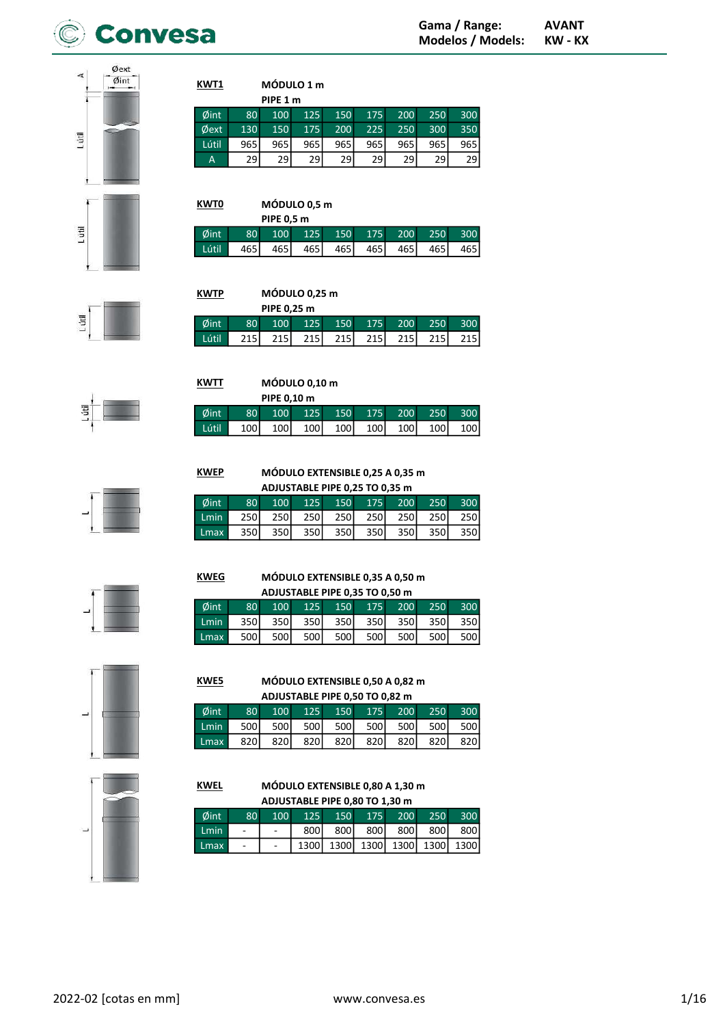



| KWT1  |     |          | MÓDULO 1 m |     |     |     |     |     |
|-------|-----|----------|------------|-----|-----|-----|-----|-----|
|       |     | PIPE 1 m |            |     |     |     |     |     |
| Øint  | 80  | 100      | 125        | 150 | 175 | 200 | 250 | 300 |
| Øext  | 130 | 150      | 175        | 200 | 225 | 250 | 300 | 350 |
| Lútil | 965 | 965      | 965        | 965 | 965 | 965 | 965 | 965 |
| A     | 29  | 29       | 29         | 29  | 29  | 29  | 29  | 29  |

| <b>KWT0</b> |                 | MÓDULO 0,5 m     |       |       |       |     |      |      |  |  |  |
|-------------|-----------------|------------------|-------|-------|-------|-----|------|------|--|--|--|
|             |                 | PIPE 0,5 m       |       |       |       |     |      |      |  |  |  |
| Øint.       | 80 <sup>1</sup> | 100 <sup>°</sup> | 125   | 150   | 175   | 200 | 250  | 300  |  |  |  |
| Lútil       | 465 l           | 465 l            | 465 l | 465 l | 465 l | 465 | 4651 | 4651 |  |  |  |



| <b>KWTP</b> |                 | MÓDULO 0,25 m    |       |         |     |         |      |     |  |  |  |
|-------------|-----------------|------------------|-------|---------|-----|---------|------|-----|--|--|--|
|             |                 | PIPE 0.25 m      |       |         |     |         |      |     |  |  |  |
| Øint        | 80 <sup>1</sup> | 100 <sup>1</sup> |       | 125 150 |     | 175 200 | 250  | 300 |  |  |  |
| Lútil       | 215I            | 215 <sup> </sup> | 215 l | 215 l   | 215 | 215     | 215I | 215 |  |  |  |



| KWTT  |                  |                  |     |             |                        |              |     |                                        |
|-------|------------------|------------------|-----|-------------|------------------------|--------------|-----|----------------------------------------|
|       |                  |                  |     |             |                        |              |     |                                        |
| Øint  | 80 <sup>1</sup>  | 100 <sup>1</sup> | 125 |             |                        |              |     | 300                                    |
| Lútil | 100 <sub>1</sub> | 100              |     |             | 100                    |              |     | 100                                    |
|       |                  |                  |     | PIPE 0,10 m | MÓDULO 0,10 m<br>100 l | 150<br>100 l | 175 | 200<br>250<br>1001<br>100 <sub>1</sub> |

KWEP

KWEG



MÓDULO EXTENSIBLE 0,25 A 0,35 m

| ADJUSTABLE PIPE 0,25 TO 0,35 m |                 |      |      |       |             |                 |       |      |  |  |  |
|--------------------------------|-----------------|------|------|-------|-------------|-----------------|-------|------|--|--|--|
| Øint                           | 80 <sup>°</sup> | 100  |      |       |             | 125 150 175 200 | 250   | 300  |  |  |  |
| Lmin                           | 250l            | 250I |      |       | 250 250 250 | 250 l           | 250 l | 250l |  |  |  |
| Lmax                           | 350l            | 350l | 350l | 350 l | 350         | 350l            | 350l  | 350  |  |  |  |

MÓDULO EXTENSIBLE 0,35 A 0,50 m ADJUSTABLE PIPE 0,35 TO 0,50 m Øint 80 100 125 150 175 200 250 300 Lmin 350 350 350 350 350 350 350 Lmax 500 500 500 500 500 500 500 500





### MÓDULO EXTENSIBLE 0,50 A 0,82 m ADJUSTABLE PIPE 0,50 TO 0,82 m KWE5

| $\emptyset$ int |                                          |  | 80 100 125 150 175 200 250 300      |  |  |
|-----------------|------------------------------------------|--|-------------------------------------|--|--|
| Lmin            |                                          |  | 500 500 500 500 500 500 500 500 500 |  |  |
|                 | Lmax 820 820 820 820 820 820 820 820 820 |  |                                     |  |  |



### MÓDULO EXTENSIBLE 0,80 A 1,30 m ADJUSTABLE PIPE 0,80 TO 1,30 m KWEL

| $\emptyset$ int | 80 <sup>°</sup> | 100 |      | 125 150 175 200 250           |  |                 | 300 |
|-----------------|-----------------|-----|------|-------------------------------|--|-----------------|-----|
| <b>Lmin</b>     |                 |     | 800l |                               |  | 800 800 800 800 | 800 |
| Lmax            |                 |     |      | 1300 1300 1300 1300 1300 1300 |  |                 |     |

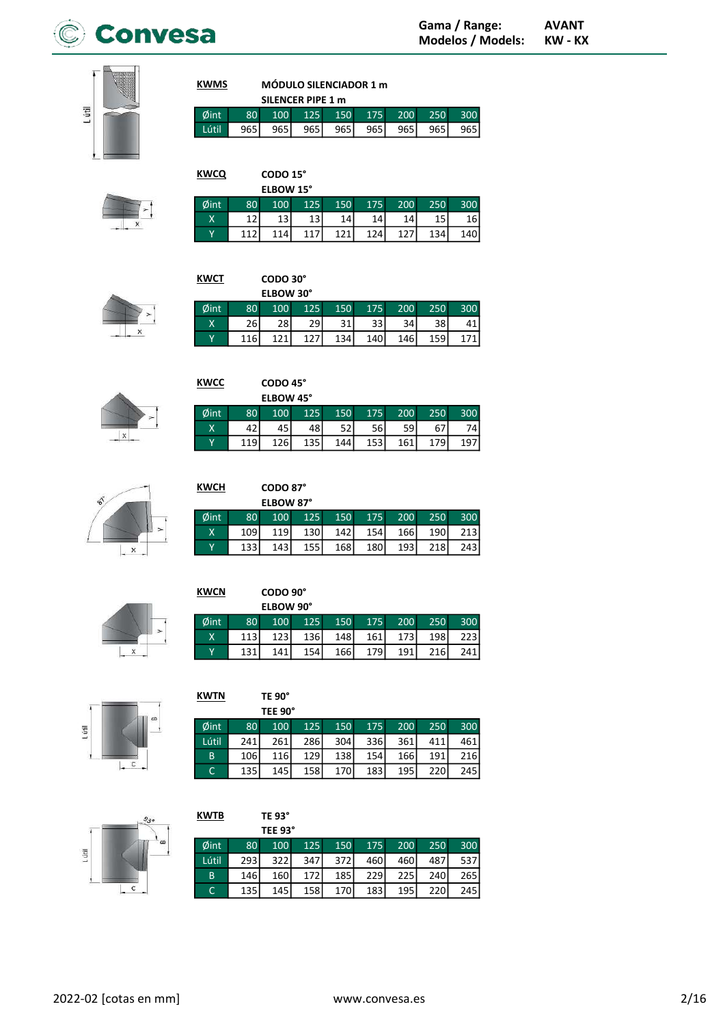

**KWMS** 

Øi

**KWCN** 

Øint

 $\overline{\mathbf{x}}$ 

 $\overline{L}$ 

Lútl



|                 |                 |              | SILENCER PIPE 1 m |       |              |       |       |     |
|-----------------|-----------------|--------------|-------------------|-------|--------------|-------|-------|-----|
| $\emptyset$ int | 80 <sup>1</sup> | $\sqrt{100}$ | $-125$            | 150   | $\sqrt{175}$ | 200   | 250   | 300 |
| Lútil.          | 965 I           | 9651         | 965 I             | 965 l | 965 l        | 965 l | 965 I | 965 |

| <b>KWCQ</b> |     | CODO 15°  |                 |     |     |                 |     |     |
|-------------|-----|-----------|-----------------|-----|-----|-----------------|-----|-----|
|             |     | ELBOW 15° |                 |     |     |                 |     |     |
| Øint        | 80  | 100       | 125             | 150 | 175 | 200             | 250 | 300 |
| Х           |     | 13        | 13 <sub>1</sub> | 14  | 14  | 14 <sub>1</sub> | 15  | 161 |
| Υ           | 11) | 114.      | 117             | 171 | 124 |                 | 134 | 140 |

| <b>KWCT</b> |     | CODO 30°  |     |     |     |     |     |     |
|-------------|-----|-----------|-----|-----|-----|-----|-----|-----|
|             |     | ELBOW 30° |     |     |     |     |     |     |
| Øint        | 80  | 100       | 125 | 150 | 175 | 200 | 250 | 300 |
| Χ           | 26  | 28        | 29  | 31  | 33  | 34  | 38  |     |
| Υ           | 116 | 121       | 177 | 134 | 140 | 146 | 159 |     |



| <b>KWCC</b> |     | CODO 45°  |     |     |     |     |     |     |
|-------------|-----|-----------|-----|-----|-----|-----|-----|-----|
|             |     | ELBOW 45° |     |     |     |     |     |     |
| Øint        | 80  | 100       | 125 | 150 | 175 | 200 | 250 | 300 |
| Χ           | 42  | 45        | 48  | 52  | 56l | 59  | 67  | 74  |
| Y           | 119 | 126       | 135 | 144 | 153 | 161 | 179 |     |



| KWCH | CODO 87°         |  |
|------|------------------|--|
|      | <b>ELBOW 87°</b> |  |
|      | $100 -$          |  |

CODO 90° ELBOW 90°

100

 $123$ 

 $\frac{141}{1}$ 

125

136

 $\frac{154}{154}$ 

| nt |                  |  |  |  | 80 100 125 150 175 200 250 300  |
|----|------------------|--|--|--|---------------------------------|
|    | 109 <sub>1</sub> |  |  |  | 119 130 142 154 166 190 213     |
|    |                  |  |  |  | 133 143 155 168 180 193 218 243 |

150

148

166

175

161

179

200

 $173$ 

 $\overline{191}$ 

250

198

 $\frac{1}{216}$ 

300  $223$ 

 $\overline{241}$ 

|  | <b>KWTN</b> |  |  |
|--|-------------|--|--|

|  |  | TE 90° |
|--|--|--------|
|--|--|--------|

80

 $113$ 

 $\frac{131}{1}$ 

| × | san           |
|---|---------------|
|   |               |
|   | - 7<br>÷<br>÷ |
|   | <b>ALC: N</b> |
|   |               |
|   |               |

|      |                 | TEE 90° |     |       |     |       |     |     |
|------|-----------------|---------|-----|-------|-----|-------|-----|-----|
| int  | 80 <sup>1</sup> | 100     | 125 | 150   | 175 | 200   | 250 | 300 |
| útil | 241             | 261     | 286 | 304   | 336 | 361   | 411 | 461 |
| B    | 106             | 116     | 129 | 138   | 154 | 166 l | 191 | 216 |
| C    | 135             | 145     | 158 | 170 l | 183 | 195   | 220 | 245 |

| Ē  |  |  |
|----|--|--|
|    |  |  |
| -- |  |  |

| <b>KWTB</b> |     | TE 93°  |      |     |     |     |     |     |
|-------------|-----|---------|------|-----|-----|-----|-----|-----|
|             |     | TEE 93° |      |     |     |     |     |     |
| Øint        | 80  | 100     | 125  | 150 | 175 | 200 | 250 | 300 |
| Lútil       | 293 | 322     | 347I | 372 | 460 | 460 | 487 | 537 |
| B           | 146 | 160     | 172  | 185 | 229 | 225 | 240 | 265 |
| C           | 135 | 145     | 158  | 170 | 183 | 195 | 220 | 245 |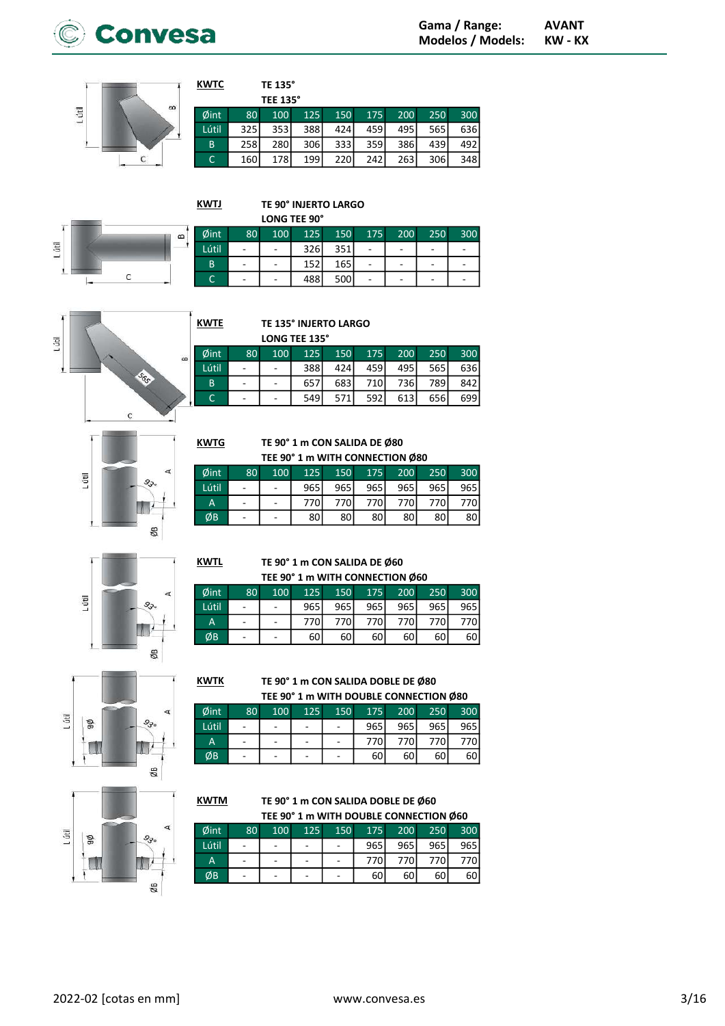



| <b>KWTC</b> |     | TE 135°         |     |     |     |     |     |     |
|-------------|-----|-----------------|-----|-----|-----|-----|-----|-----|
|             |     | <b>TEE 135°</b> |     |     |     |     |     |     |
| Øint        | 80  | 100             | 125 | 150 | 175 | 200 | 250 | 300 |
| Lútil       | 325 | 353             | 388 | 424 | 459 | 495 | 565 | 636 |
| B           | 258 | 280             | 306 | 333 | 359 | 386 | 439 | 492 |
| C           | 160 | 178             | 199 | 220 | 242 | 263 | 306 | 348 |

**KWTJ** 

**KWTE** 

**KWTG** 

 $\frac{\phi}{L}$ 

ØB

**KWTK** 

**KWTM** 

TE 90° INJERTO LARGO



|       |    |     | <b>LONG TEE 90°</b> |     |     |     |     |     |
|-------|----|-----|---------------------|-----|-----|-----|-----|-----|
| ⊅int  | 80 | 100 | 125                 | 150 | 175 | 200 | 250 | 300 |
| útil. | ٠  | ۰   | 326                 | 351 | -   |     | -   |     |
| B     | ۰  | -   | 152                 | 165 |     |     | -   |     |
|       |    |     | 488                 | 500 |     |     |     |     |





TE 135° INJERTO LARGO

LONG TEE 135°

|      |                              |                          | LVIIV ILL 199 |                  |     |                  |      |     |
|------|------------------------------|--------------------------|---------------|------------------|-----|------------------|------|-----|
| Sint | 80 <sup>1</sup>              | 100                      | 125           | 150              | 175 | 200              | 250  | 300 |
| útil | $\overline{a}$               | $\sim$                   | 388l          | 424              | 459 | 495              | 565  | 636 |
| B    | $\overline{a}$               | $\overline{\phantom{a}}$ | 657           | 683 <sup>1</sup> | 710 | 736 <sub>l</sub> | 789  | 842 |
| C    | $\qquad \qquad \blacksquare$ | $\overline{\phantom{a}}$ | 549           | 571              | 592 | 613              | 656l | 699 |

TE 90° 1 m CON SALIDA DE Ø80 TEE 90° 1 m WITH CONNECTION Ø80

| Øint  | 80 <sup>°</sup>   | 100 | 125 | 150 | 175 | 200  | 250  | 300 |
|-------|-------------------|-----|-----|-----|-----|------|------|-----|
| Lútil | ٠                 |     | 965 | 965 | 965 | 965  | 965  | 965 |
| Α     | ٠                 |     | 770 | 770 | 770 | 770I | 770I | 770 |
| ØB    | $\qquad \qquad -$ |     | 80  | 80  | 80l | 80 l | 80   | 80  |

L útil  $9,$ ØB

**KWTL** TE 90° 1 m CON SALIDA DE Ø60  $0.004$ WITH CONNECT

| TEE 90° 1 m WITH CONNECTION Ø60 |                 |     |     |       |     |     |      |      |  |  |  |
|---------------------------------|-----------------|-----|-----|-------|-----|-----|------|------|--|--|--|
| int                             | 80 <sup>1</sup> | 100 | 125 | 150   | 175 | 200 | 250  | 300  |  |  |  |
| itil                            |                 |     | 965 | 965 l | 965 | 965 | 965l | 965  |  |  |  |
| Д                               |                 |     | 770 | 770   | 770 | 770 | 770  |      |  |  |  |
| ĺВ                              |                 |     | 60  | 60    | 60  | 60  | 601  | 60 l |  |  |  |

L útil ØB  $9<sub>5</sub>$ n ØB

### TE 90° 1 m CON SALIDA DOBLE DE Ø80 TEE 90° 1 m WITH DOUBLE CONNECTION Ø80

|                 |                          |     |                          |                          |     |      | TEE 90 THI WITH DOUBLE CONNECTION W80 |                  |
|-----------------|--------------------------|-----|--------------------------|--------------------------|-----|------|---------------------------------------|------------------|
| $\emptyset$ int | 80 <sup>1</sup>          | 100 | 125                      | 150                      | 175 | 200  | 250                                   | 300 <sup>1</sup> |
| Lútil           |                          |     | $\overline{\phantom{a}}$ |                          | 965 | 965  | 965I                                  | 965 <sup>I</sup> |
| A               | $\overline{\phantom{0}}$ |     | $\overline{a}$           | $\overline{a}$           | 770 | 770I | 770I                                  | 770I             |
| ØВ              | $\overline{\phantom{a}}$ |     | -                        | $\overline{\phantom{m}}$ | 60  | 60 l | 60                                    | 60 l             |



TE 90° 1 m CON SALIDA DOBLE DE Ø60 TEE 90° 1 m WITH DOUBLE CONNECTION Ø60

| Øint  | 80 | 100                      | 125 | 150 | 175 | 200 | 250  | 300 |
|-------|----|--------------------------|-----|-----|-----|-----|------|-----|
| Lútil | -  | $\overline{\phantom{0}}$ |     |     | 965 | 965 | 965  | 965 |
| A     |    |                          |     |     | 770 | 770 | 770I | 770 |
| ØΒ    | -  | -                        |     |     | 60  | 60  | 60   | 60  |
|       |    |                          |     |     |     |     |      |     |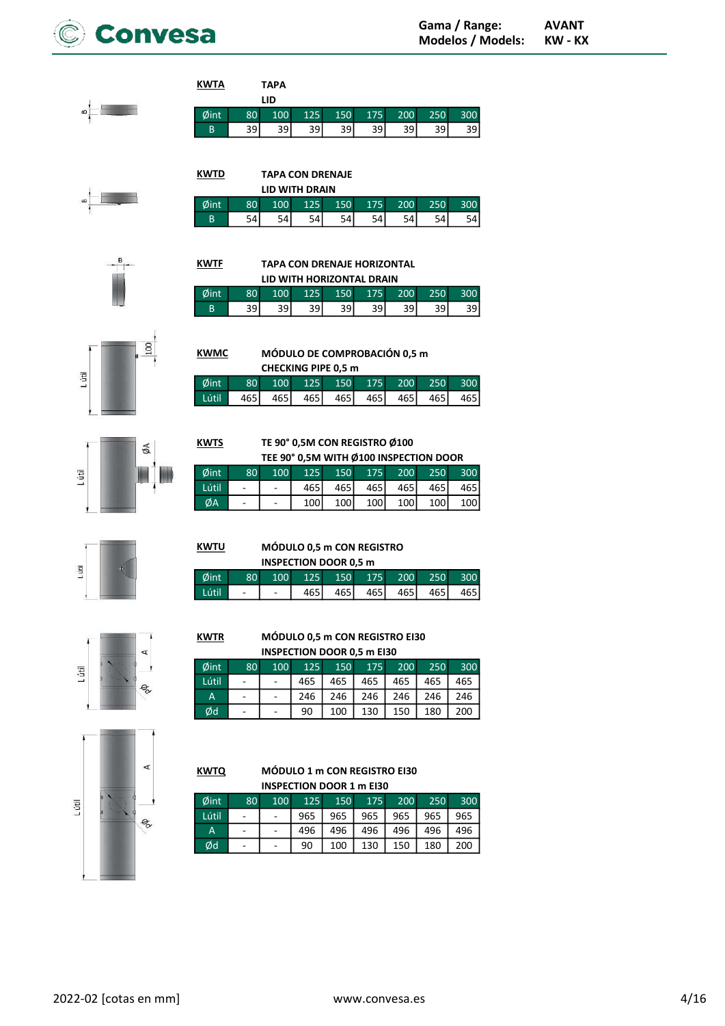



# TAPA LID **KWTA**

KWTF

**KWMC** 

**KWTS** 

KWTU

| $\emptyset$ int $\parallel$ |    |    |      |    |    |    |    | 80 100 125 150 175 200 250 300 |
|-----------------------------|----|----|------|----|----|----|----|--------------------------------|
| B.                          | 39 | 39 | 39 I | 39 | 39 | 39 | 39 | 39                             |
|                             |    |    |      |    |    |    |    |                                |

TAPA CON DRENAJE LID WITH DRAIN Øint 80 100 125 150 175 200 250 300 **KWTD** 

| ''''' | ov.                         |      |      |     |    | 100 125 150 1715 200 250 | . טטט |
|-------|-----------------------------|------|------|-----|----|--------------------------|-------|
| B     | $\overline{\phantom{0}}$ 54 | 54 I | 54 L | 541 | 54 | 54 L                     | 54    |
|       |                             |      |      |     |    |                          |       |

TAPA CON DRENAJE HORIZONTAL LID WITH HORIZONTAL DRAIN Øint 80 100 125 150 175 200 250 300 B 39 39 39 39 39 39 39 39

MÓDULO DE COMPROBACIÓN 0,5 m

Øint 80 100 125 150 175 200 250 300 Lútil 465 465 465 465 465 465 465



ØA Lútil





TE 90° 0,5M CON REGISTRO Ø100

MÓDULO 0,5 m CON REGISTRO INSPECTION DOOR 0,5 m

Øint 80 100 125 150 175 200 250 300 Lútil - | - | 465| 465| 465| 465| 465

CHECKING PIPE 0,5 m

|       |                 |                  |       |       |       | TEE 90° 0,5M WITH Ø100 INSPECTION DOOR |       |                  |
|-------|-----------------|------------------|-------|-------|-------|----------------------------------------|-------|------------------|
| Øint  | 80 <sup>1</sup> | 100 <sup>1</sup> | 125   | 150   |       | 175 200                                | 250   | 300              |
| Lútil |                 |                  | 465 l | 465 l | 465 l | 465 I                                  | 465 I | 465 l            |
| ØA    |                 |                  | 100   | 100   | 100   | 100                                    | 100   | 100 <sup>1</sup> |

| ×. |   |
|----|---|
|    | ۷ |
|    |   |

# ď

e,

### KWTR MÓDULO 0,5 m CON REGISTRO EI30 INSPECTION DOOR 0,5 m EI30

| <b>INSPECTION DOOR 0,3 III EISU</b> |                 |     |     |     |     |     |     |     |  |  |  |
|-------------------------------------|-----------------|-----|-----|-----|-----|-----|-----|-----|--|--|--|
| Øint                                | 80 <sup>1</sup> | 100 | 125 | 150 | 175 | 200 | 250 | 300 |  |  |  |
| Lútil                               | ٠               |     | 465 | 465 | 465 | 465 | 465 | 465 |  |  |  |
| A                                   |                 |     | 246 | 246 | 246 | 246 | 246 | 246 |  |  |  |
| Ød                                  |                 |     | 90  | 100 | 130 | 150 | 180 | 200 |  |  |  |



. útil

| KWTQ          |  | <b>MÓDULO 1 m CON REGISTRO EI30</b> |  |
|---------------|--|-------------------------------------|--|
|               |  | <b>INSPECTION DOOR 1 m EI30</b>     |  |
| $M_{\rm int}$ |  | $00 - 100 - 125 - 150 - 175 - 200$  |  |

| Øint  | 80 <sup>1</sup> | 100 | 125 <sub>l</sub> | 150 | 175 | 200 | 250 | 300 |
|-------|-----------------|-----|------------------|-----|-----|-----|-----|-----|
| Lútil |                 |     | 965              | 965 | 965 | 965 | 965 | 965 |
| A     |                 |     | 496              | 496 | 496 | 496 | 496 | 496 |
| Ød    |                 |     | 90               | 100 | 130 | 150 | 180 | 200 |



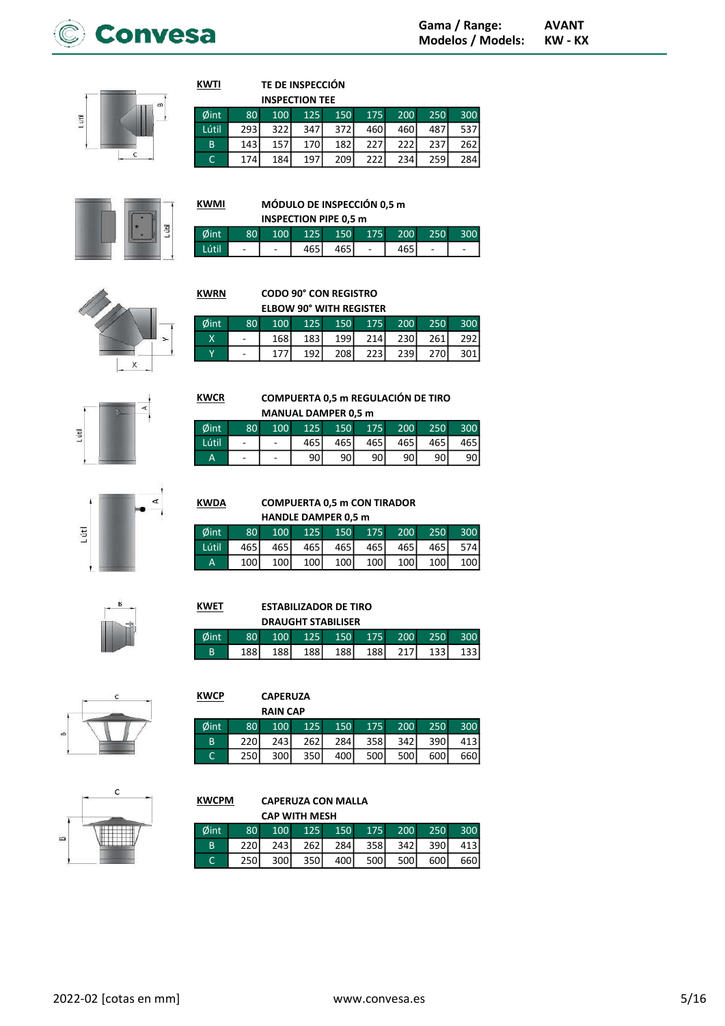

**GHT** 

# TE DE INSPECCIÓN

|       |                 |      | <b>INSPECTION TEE</b> |       |     |      |             |                  |
|-------|-----------------|------|-----------------------|-------|-----|------|-------------|------------------|
| Øint  | 80 <sup>1</sup> | 100  | 125                   | 150   | 175 | 200  | 250         | 300              |
| Lútil | 293 l           | 322I | 347 <sup>I</sup>      | 372I  | 460 | 460  | 487I        | 537 L            |
| B     | 143 l           | 157  | 170 <sup>I</sup>      | 182   | 227 | 2221 | <b>2371</b> | 262 <sup>1</sup> |
| С     | 174             | 184  | 197 l                 | 209 l | 222 | 234  | 259         | 284 l            |



**KWTI** 

# MÓDULO DE INSPECCIÓN 0,5 m

| <b>INSPECTION PIPE 0,5 m</b> |                          |                  |              |     |     |      |     |  |
|------------------------------|--------------------------|------------------|--------------|-----|-----|------|-----|--|
| Øint                         | 8U                       | 100 <sup>1</sup> | $\sqrt{125}$ | 150 | 175 | 200  | 250 |  |
| Lútil                        | $\overline{\phantom{0}}$ |                  | 465          |     |     | 465' |     |  |





### Øint 80 100 125 150 175 200 250 300 168 183 199 214 230 261 292  $\overline{Y}$ 177  $192$  $\overline{208}$  $\overline{223}$ 239 270  $\overline{301}$

**COMPUERTA 0,5 m REGULACIÓN DE TIRO** 

175

465

90

200

465

90

250

465

90

300

465

90

300

 $413$ 

660

150

465

90



**MANUAL DAMPER 0,5 m** Øint 100 125 80 Lútil

**KWCR** 

**KWCP** 

Øint

 $\overline{B}$ 

 $\overline{c}$ 

### $465$  $\overline{\phantom{a}}$ 90  $\overline{a}$

**COMPUERTA 0,5 m CON TIRADOR** HANDLE DAMPER 0.5 m

|       |                 |     |     | <b>IMITLE DAITER VISITE</b> |              |     |      |                  |
|-------|-----------------|-----|-----|-----------------------------|--------------|-----|------|------------------|
| Øint  | 80 <sup>°</sup> | 100 | 125 | 150                         | $\sqrt{175}$ | 200 | 250  | 300              |
| Lútil | 465 l           | 465 | 465 | 465                         | 465          | 465 | 465I | 574l             |
| A     | 100             | 100 | 100 | 100 <sup>1</sup>            | 100          | 100 | 100  | 100 <sup>1</sup> |

 $rac{1}{2}$ 

### **ESTABILIZADOR DE TIRO KWET**

|      |     |                  | <b>DRAUGHT STABILISER</b> |       |      |      |       |      |
|------|-----|------------------|---------------------------|-------|------|------|-------|------|
| ðint | 80  | 100 <sup>1</sup> | 125                       | 150   | 175  | 200  | 250   | 300  |
| R    | 188 | 188 l            | 188 l                     | 188 l | 188I | 217I | 133 I | 1331 |

150

284

400

175

 $358$ 

 $500$ 

200

 $\overline{342}$ 

500

250

 $390$ 

600



# $\epsilon$  $\alpha$

### **KWCPM CAPERUZA CON MALLA**

**CAPERUZA RAIN CAP** 

100

 $\overline{243}$ 

 $\overline{300}$ 

125

 $\overline{262}$ 

350

80

220

250

|      |                 | CAP WITH MESH |                  |         |     |         |      |       |
|------|-----------------|---------------|------------------|---------|-----|---------|------|-------|
| Øint | 80 <sup>1</sup> | 100           |                  | 125 150 |     | 175 200 | 250  | 300   |
| B    | 220l            | 243           | 262 l            | 284 l   | 358 | 342 l   | 390l | 413   |
|      | <b>250</b>      | 300l          | 350 <sup> </sup> | 400 l   | 500 | 500     | 600  | 660 l |





# **KWDA**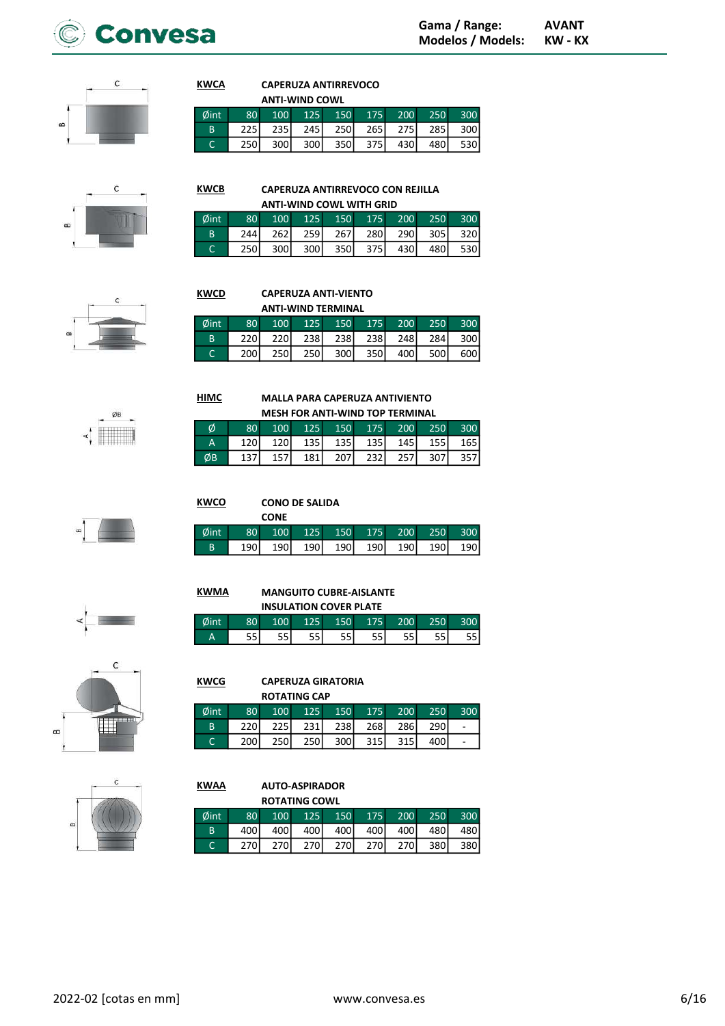



# **CAPERUZA ANTIRREVOCO**

|      |                 | <b>ANTI-WIND COWL</b> |      |                  |     |                  |       |     |
|------|-----------------|-----------------------|------|------------------|-----|------------------|-------|-----|
| Øint | 80 <sup>1</sup> | 100 <sub>1</sub>      |      | 125 150          |     | 175 200          | 250   | 300 |
| B    | <b>2251</b>     | 235 l                 | 245  | 250 l            | 265 | 275              | 285 l | 300 |
|      | 250l            | 300 <sup>1</sup>      | 300l | 350 <sup> </sup> | 375 | 430 <sup> </sup> | 480I  | 530 |

 $\epsilon$ 



**KWCA** 

**HIMC** 

Ø

 $\overline{A}$ ØB

**KWCO** 

**KWMA** 

Ø

|              |                 |       | ANTI-WIND COWL WITH OND |     |                     |                         |
|--------------|-----------------|-------|-------------------------|-----|---------------------|-------------------------|
| int          | 80 <sup>°</sup> | 100   |                         |     | 125 150 175 200 250 | 300                     |
| <sub>B</sub> | 244             | 262 l |                         |     |                     | 259 267 280 290 305 320 |
|              | 250l            | 300 l | 300 350 375             | 430 | 480 l               | 530                     |

# **CAPERUZA ANTI-VIENTO**

|      |     |                  |             | <b>ANTI-WIND TERMINAL</b> |     |                  |      |                  |
|------|-----|------------------|-------------|---------------------------|-----|------------------|------|------------------|
| Øint | 80  | 100 <sup>1</sup> | 125         | 150                       | 175 | 200              | 250  | 300 <sup>1</sup> |
| B    | 220 | <b>220</b>       | <b>2381</b> | <b>2381</b>               | 238 | 248 <sup>I</sup> | 284  | 300 l            |
|      | 200 | 250 <sup>1</sup> | 250l        | 300l                      | 350 | 400              | 500l | 600l             |

**MALLA PARA CAPERUZA ANTIVIENTO MESH FOR ANTI-WIND TOP TERMINAL** 

150

 $\frac{135}{135}$ 

207

175

135

232

200

 $\frac{145}{145}$ 

257

250

 $\frac{155}{155}$ 

307

300

 $\frac{165}{ }$ 

357



### **CONO DE SALIDA**

100

 $\frac{120}{2}$ 

157

80

120

137

125

135

181

|     |                 | <b>CONE</b>      |       |         |          |           |                |       |
|-----|-----------------|------------------|-------|---------|----------|-----------|----------------|-------|
| int | 80 <sup>°</sup> | 100              |       | 125 150 |          | $175$ 200 | 250            | 300   |
| B   | 190 I           | 190 <sup> </sup> | 190 l |         | 190  190 | 190       | - 190 <b>1</b> | 190 l |



# $\epsilon$  $\infty$



|  | <b>INSULATION COVER PLATE</b> |  |  |
|--|-------------------------------|--|--|
|  |                               |  |  |
|  |                               |  |  |

**MANGUITO CUBRE-AISLANTE** 

| טוווש | $\sim$    | .             |      | - 11 | .    | 2 U U U | 5U L | ייי |
|-------|-----------|---------------|------|------|------|---------|------|-----|
| Δ     | пr.<br>55 | --<br>יה<br>- | c c. | --   | -- 1 | --<br>5 |      |     |
|       |           |               |      |      |      |         |      |     |

**CAPERUZA GIRATORIA KWCG ROTATING CAP**  $\emptyset$ int 80 100 125 150 200 250 300 175 231  $\overline{B}$ 220 225 238 268 286 290  $\overline{\phantom{a}}$  $\overline{c}$  $\overline{200}$  $\overline{250}$ 250  $\overline{300}$  $\frac{1}{315}$  $400$  $\overline{315}$  $\mathcal{L}^{\mathcal{A}}$ 

**KWAA AUTO-ASPIRADOR ROTATING COWL** 100 125 Øint 80 150 175 200 250 300  $\overline{B}$ 400 400 400 400 400 400 480 480  $\overline{C}$ 270 270 270 270 270 270 380 380

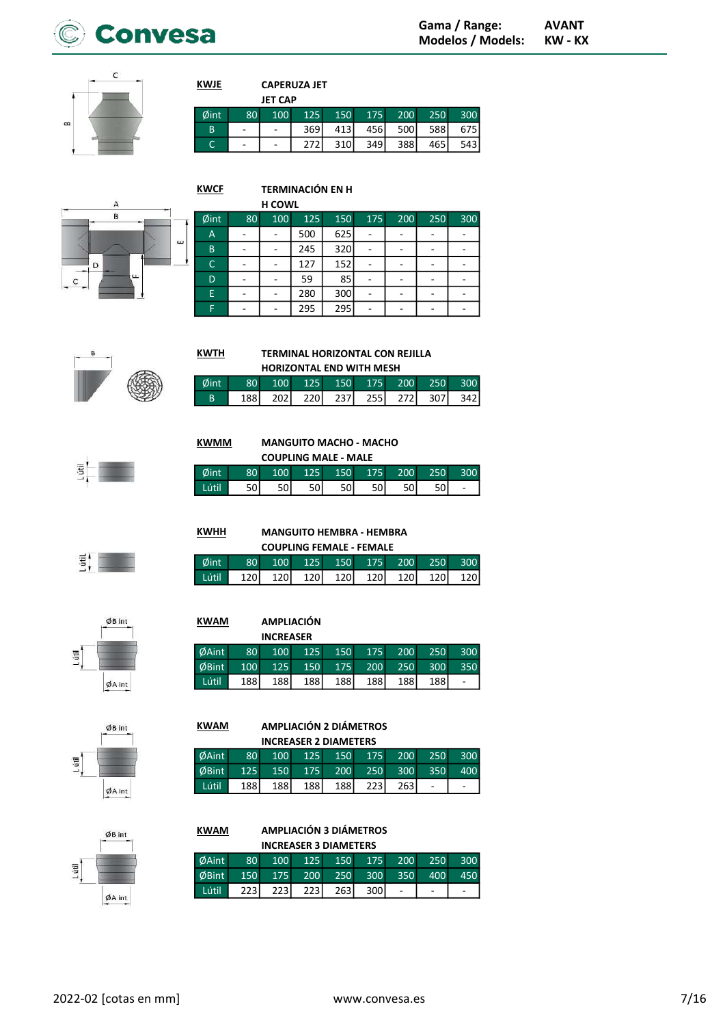



| <b>CAPERUZA JET</b> |
|---------------------|
| --- --              |

**TERMINACIÓN EN H** 

**KWJE** 

**KWTH** 

 $\emptyset$ int

 $\overline{B}$ 

**KWHH** 

 $\phi$ int

Lútil

80

188

80

120

100

 $\overline{202}$ 

|      |    | JET CAP |       |     |     |     |     |       |
|------|----|---------|-------|-----|-----|-----|-----|-------|
| Øint | 80 | 100     | 125   | 150 | 175 | 200 | 250 | 300   |
| B    | ٠  |         | 369 l | 413 | 456 | 500 | 588 | 675   |
|      | -  | -       |       | 310 | 349 | 388 | 465 | 543 l |



|                |    | <b>H COWL</b> |     |     |     |     |     |     |
|----------------|----|---------------|-----|-----|-----|-----|-----|-----|
| Øint           | 80 | 100           | 125 | 150 | 175 | 200 | 250 | 300 |
| $\overline{A}$ |    |               | 500 | 625 |     |     |     |     |
| B              |    |               | 245 | 320 |     |     |     |     |
| C              |    |               | 127 | 152 |     |     |     |     |
| D              |    |               | 59  | 85  |     |     |     |     |
| E              |    |               | 280 | 300 |     |     |     |     |
| F              |    |               | 295 | 295 |     |     |     |     |

# $\frac{1}{2}$

**KWMM MANGUITO MACHO - MACHO** 

125

220

|      | <b>COUPLING MALE - MALE</b> |            |     |                  |     |                  |  |                          |  |  |  |  |
|------|-----------------------------|------------|-----|------------------|-----|------------------|--|--------------------------|--|--|--|--|
| dint | 80 <sub>1</sub>             | <b>MOD</b> | 125 | 150 <sub>1</sub> | 175 | 200 <sub>1</sub> |  |                          |  |  |  |  |
| útil |                             |            |     |                  |     |                  |  | $\overline{\phantom{0}}$ |  |  |  |  |

**MANGUITO HEMBRA - HEMBRA COUPLING FEMALE - FEMALE** 

150

120

175

120

200

120

250

120

300

120

300

400

300

 $150$ 

ä,

125

120

**TERMINAL HORIZONTAL CON REJILLA HORIZONTAL END WITH MESH** 

150

 $\overline{237}$ 

175

 $255$ 

200

 $\overline{272}$ 

250

 $\overline{307}$ 

300

 $\overline{342}$ 

itil.

# ØB int  $\overline{5}$  $ØA$  int

### **KWAM AMPLIACIÓN**

100

120

|       |                  | <b>INCREASER</b> |     |     |     |       |            |     |
|-------|------------------|------------------|-----|-----|-----|-------|------------|-----|
| ØAint | 80 <sup>1</sup>  | 100              | 125 | 150 | 175 | 200   | 250        | 300 |
| ØBint | 100 <sup>1</sup> | 125              | 150 | 175 | 200 | 250   | <b>300</b> | 350 |
| Lútil | 188              | 188I             | 188 | 188 | 188 | 188 l | 188I       | ÷   |



### **KWAM AMPLIACIÓN 2 DIÁMETROS INCREASER 2 DIAMETERS** ØAint 80 100 125 150 175 200 250  $\emptyset$ Bint 125 150 175 200 250 300 350 Lútil  $\frac{188}{188}$  $\frac{188}{ }$ 188  $\frac{188}{x}$  $\frac{1}{223}$  $\overline{263}$ ä,

| <b>KWAM</b>                  | <b>AMPLIACIÓN 3 DIÁMETROS</b> |                  |             |             |      |                  |     |   |  |  |  |  |
|------------------------------|-------------------------------|------------------|-------------|-------------|------|------------------|-----|---|--|--|--|--|
| <b>INCREASER 3 DIAMETERS</b> |                               |                  |             |             |      |                  |     |   |  |  |  |  |
| <b>ØAint</b>                 | 80 <sup>1</sup>               | 100 <sup>1</sup> | 125         | 150         | 175  | 200              | 250 | ă |  |  |  |  |
| ØBint                        | 150                           | 175              | <b>200</b>  | 250         | 300  | 350 <sup>2</sup> | 400 |   |  |  |  |  |
| Lútil.                       | 223                           | 2231             | <b>2231</b> | <b>2631</b> | 300l |                  |     |   |  |  |  |  |

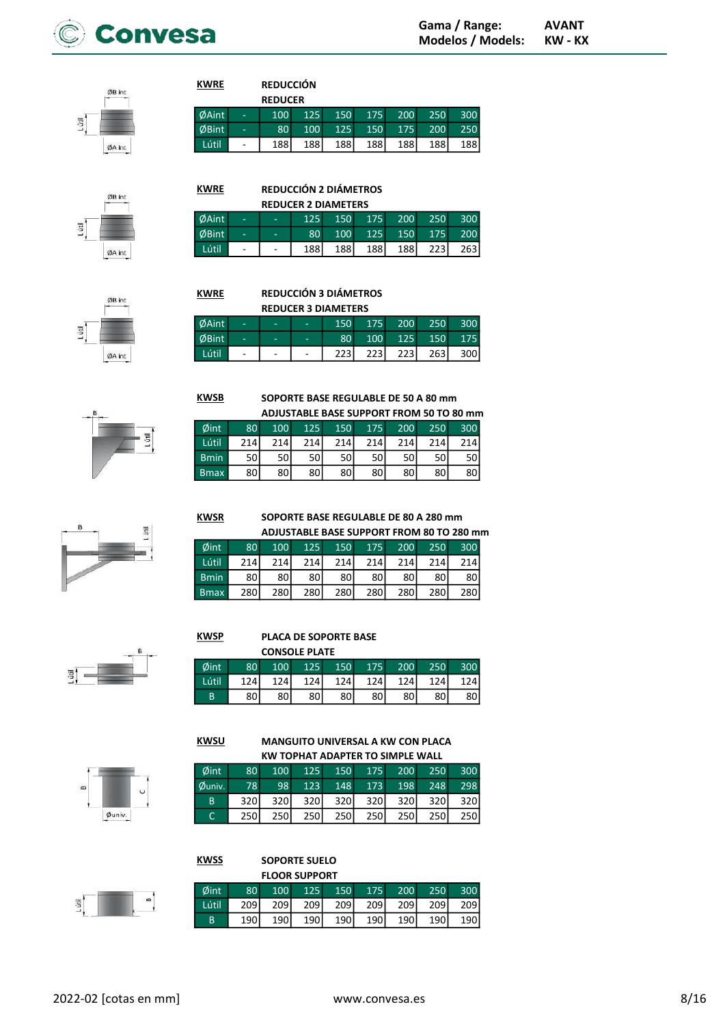

ØB int 月 ØA int

ØB int

 $ØA$  int

目

### **REDUCCIÓN DEDUCED**

**KWRE** 

 $\overline{1}$ 

 $\overline{E}$  $\overline{B}$ 

**KWSR** 

**KWSU** 

**KWSS** 

|       |                   | <b>KEDUCER</b>   |     |         |     |             |     |       |
|-------|-------------------|------------------|-----|---------|-----|-------------|-----|-------|
| )Aint | ۰                 | 100 <sup>°</sup> |     | 125 150 |     | 175 200     | 250 | 300   |
| 5Bint | ۰                 | 80 <sup>1</sup>  | 100 | 125     |     | 150 175 200 |     | 250   |
| ∟útil | $\qquad \qquad -$ | 188              | 188 | 188     | 188 | 188         | 188 | 188 l |
|       |                   |                  |     |         |     |             |     |       |

**KWRE REDUCCIÓN 2 DIÁMETROS** 

| <b>REDUCER 2 DIAMETERS</b> |                   |                          |                 |                  |                   |         |             |       |  |  |  |
|----------------------------|-------------------|--------------------------|-----------------|------------------|-------------------|---------|-------------|-------|--|--|--|
| ØAint                      | ۰                 | ٠                        | 125             |                  | $150$ $175$ $200$ |         | 250         | 300   |  |  |  |
| ØBint                      | ۰                 | ۰                        | 80 <sup>1</sup> | 100 <sup>1</sup> |                   | 125 150 | 175         | 200   |  |  |  |
| Lútil                      | $\qquad \qquad -$ | $\overline{\phantom{a}}$ | 188 l           | 188 l            | 188 <sup> </sup>  | 188 l   | <b>2231</b> | 263 l |  |  |  |

ØB in ØA int



# **KWRE** REDUCCIÓN 3 DIÁMETROS **REDUCER 3 DIAMETERS** Ø<br>Ø

| Aint        | - | ۰ | 150 <sup>°</sup> | 175 |             | $\sqrt{200}$ 250 | 300 |
|-------------|---|---|------------------|-----|-------------|------------------|-----|
| <b>Bint</b> |   | - | 80 <sup>°</sup>  |     | 100 125 150 |                  | 175 |
| útil        |   |   | 223I             | 223 |             | 223 263          | 300 |



|       |                 |     |      |      |     |                 |     | ADJUJIADLL DAJL JUH I UNI I INDINI JU TU UU IIIIII |
|-------|-----------------|-----|------|------|-----|-----------------|-----|----------------------------------------------------|
| ðint  | 80 <sup>1</sup> | 100 | 125  | 150  | 175 | 200             | 250 | 300                                                |
| útil. | 214             | 214 | 214  | 214I | 214 | 214             | 214 | 2141                                               |
| min   | 50              | 50  | 50 l | 50   | 50l | 50 <sup>1</sup> | 50  | 50                                                 |
| max   | 80              | 80  | 80 I | 80   | 80l | 80              | 80  | 80                                                 |



### SOPORTE BASE REGULABLE DE 80 A 280 mm ADJUSTABLE BASE SUPPORT FROM 80 TO 280 mm

|                 |                 |                  |                  |                  |     |                 |      | ADJUJIADLL DAJL JUI I UNI I NUM OU TU LUU IIIII |  |
|-----------------|-----------------|------------------|------------------|------------------|-----|-----------------|------|-------------------------------------------------|--|
| $\emptyset$ int | 80 <sup>°</sup> | 100              |                  |                  |     | 125 150 175 200 | 250  | 300                                             |  |
| Lútil           | 214I            | 214l             | 214 <sup> </sup> | 214              | 214 | 214             | 214I | 214                                             |  |
| Bmin            | 80 l            | 80I              | 80 l             | 80I              | 80I | 80              | 80I  | 80                                              |  |
| <b>Bmax</b>     | 280             | 280 <sup>1</sup> | <b>280</b>       | 280 <sup>1</sup> | 280 | 280             | 280  | 280I                                            |  |

**KWSP PLACA DE SOPORTE BASE** 

|      |     |     | <b>CONSOLE PLATE</b> |     |     |     |       |       |
|------|-----|-----|----------------------|-----|-----|-----|-------|-------|
| Sint | 80  | 100 | 125                  | 150 | 175 | 200 | 250   | 300   |
| útil | 124 | 124 | 124 l                | 124 | 124 | 124 | 124 l | 124 l |
| B    | 80  | 801 | 80 I                 | 80  | 801 | 80  | 801   | 801   |

MANGUITO UNIVERSAL A KW CON PLACA

| KW TOPHAT ADAPTER TO SIMPLE WALL |                 |      |      |     |     |                         |       |     |  |  |  |
|----------------------------------|-----------------|------|------|-----|-----|-------------------------|-------|-----|--|--|--|
| Øint                             | 80 <sup>°</sup> |      |      |     |     | 100 125 150 175 200 250 |       | 300 |  |  |  |
| ðuniv.                           | 78              | 98   | 123  |     |     | $148$ 173 198           | 248   | 298 |  |  |  |
| B                                | 320l            | 320l | 320l | 320 | 320 | 320 <sup>1</sup>        | -320l | 320 |  |  |  |
| C                                | 250             | 250l | 250l | 250 | 250 | 250                     | 250l  | 250 |  |  |  |

### **SOPORTE SUELO FLOOR SUPPORT**

 $\phi$ univ,

|                 |                  |                  | <u>rluun jurruni</u> |       |                  |     |                  |     |
|-----------------|------------------|------------------|----------------------|-------|------------------|-----|------------------|-----|
| $\emptyset$ int | 80               | 100              | 125 <sub>1</sub>     | 150   | 175              | 200 | 250              | 300 |
| Lútil           | 209 <sub>1</sub> | 209 <sub>1</sub> | 209                  | 209 l | 209 <sub>1</sub> | 209 | 209 <sub>1</sub> | 209 |
| B               | 190              | 190              | 190                  | 190 l | 190              | 190 | 190 l            | 190 |
|                 |                  |                  |                      |       |                  |     |                  |     |



 $\overline{\Xi}$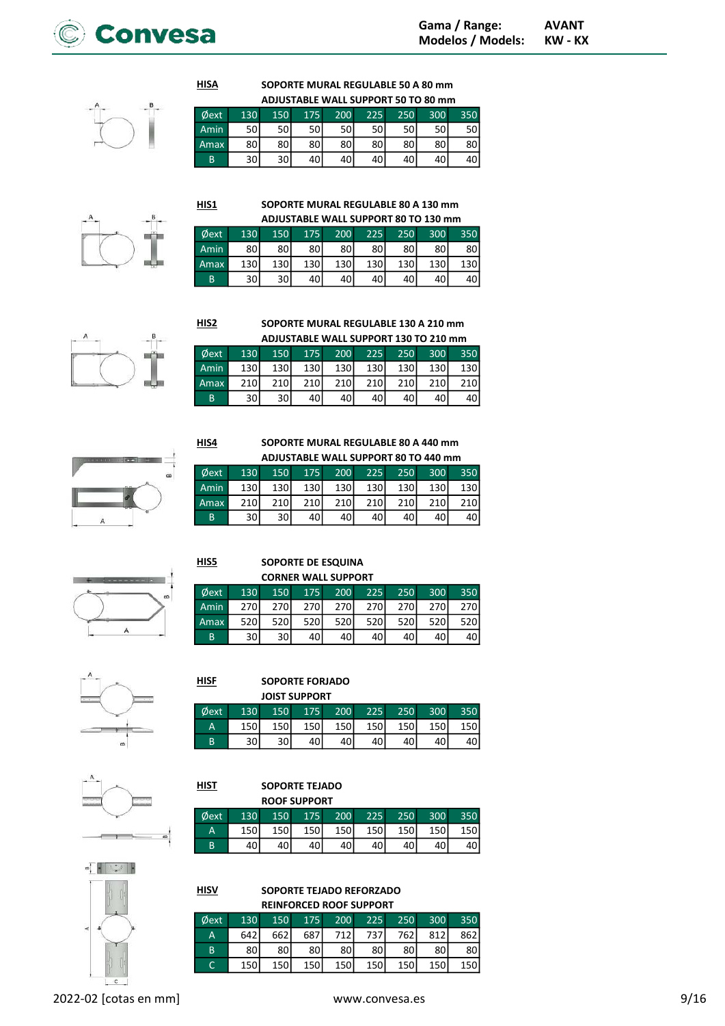

### SOPORTE MURAL REGULABLE 50 A 80 mm ADJUSTABLE WALL SUPPORT 50 TO 80 mm

| AUJUSTADLE WALL SUPPUNT 30 TU 60 MM |     |     |      |     |     |     |      |      |  |  |
|-------------------------------------|-----|-----|------|-----|-----|-----|------|------|--|--|
| $\phi$ ext                          | 130 | 150 | 175  | 200 | 225 | 250 | 300  | 350  |  |  |
| Amin                                | 50  | 50I | 50 l | 50l | 50  | 50  | 50 l | 50 l |  |  |
| <b>Amax</b>                         | 80  | 80  | 80   | 80  | 80  | 80  | 80   |      |  |  |
| B                                   | 30  | 30I | 40   | 40  | 40  |     |      |      |  |  |

HIS<sub>2</sub>

HIS4

HIS5

**HISA** 

### HIS1 SOPORTE MURAL REGULABLE 80 A 130 mm **DUJCTABLE WALL SUPPORT 80 TO 130**

| ADJUSTABLE WALL SUPPORT 80 TO 130 MM |                 |     |       |      |      |     |      |     |  |
|--------------------------------------|-----------------|-----|-------|------|------|-----|------|-----|--|
| <b>Øext</b>                          | 130             | 150 | 175   | 200  | 225  | 250 | 300  | 350 |  |
| Amin                                 | 80              | 80I | 80    | 80 l | 80 I | 80  | 80 I | 80  |  |
| Amax                                 | 130             | 130 | 130 l | 130  | 130  | 130 | 130  | 130 |  |
| B                                    | 30 <sup>1</sup> | 30  | 40    | 40   | 40   | 40  |      |     |  |

|        | i, |
|--------|----|
|        |    |
|        |    |
| ______ |    |
|        |    |



**HIST** 

**HISF** 

**HISV** 

### SOPORTE MURAL REGULABLE 130 A 210 mm ADJUSTABLE WALL SUPPORT 130 TO 210 mm

|      |      |                  |     |                  |                     |                  | ADJUSTADLE WALL SUPPUNT 150 TU ZIU IIIIII |     |
|------|------|------------------|-----|------------------|---------------------|------------------|-------------------------------------------|-----|
| Øext | 130  |                  |     |                  | 150 175 200 225 250 |                  | 300 <sup>°</sup>                          | 350 |
| Amin | 130I | 130 <sup>1</sup> | 130 | 130 l            | 130 <sup>1</sup>    | 130 <sup>I</sup> | 130 <sup>1</sup>                          | 130 |
| Amax | 210  | 210              | 210 | 210 <sup> </sup> | <b>210</b>          | 210              | 210                                       | 210 |
| B    | 30   | 30               | 40  | 40I              | 40 l                | 40I              | 40I                                       | 40  |

SOPORTE MURAL REGULABLE 80 A 440 mm ADJUSTABLE WALL SUPPORT 80 TO 440 mm

> SOPORTE DE ESQUINA CORNER WALL SUPPORT

| Øext | 130 | 150              | 175              | 200              | 225              | 250 | 300              | 350 |
|------|-----|------------------|------------------|------------------|------------------|-----|------------------|-----|
| Amin | 130 | 130 <sup> </sup> | 130 <sup> </sup> | 130 <sup>1</sup> | 130 <sup> </sup> | 130 | 130 <sup>1</sup> | 130 |
| Amax | 210 | 210              | 210              | 210              | 210              | 210 | 210              | 210 |
| B    | 30  | 30I              |                  | 40               | 40               |     | 40               | 40  |

Øext 130 150 175 200 225 250 300 350 Amin 270 270 270 270 270 270 270 270 Amax 520 520 520 520 520 520 520 520 B 30 30 40 40 40 40 40 40



# SOPORTE FORJADO

|      |     |     | <b>JOIST SUPPORT</b> |     |     |     |     |       |
|------|-----|-----|----------------------|-----|-----|-----|-----|-------|
| Øext | 130 | 150 | 175                  | 200 | 225 | 250 | 300 | 350   |
| Α    | 150 | 150 | 150                  | 150 | 150 | 150 | 150 | 150 l |
| B    | 30  |     |                      |     |     |     |     |       |

### SOPORTE TEJADO  $R = 0.188887$

| Øext<br>130 | 150 | 175   | 200   | 225        | 250 | 300  | 350 |
|-------------|-----|-------|-------|------------|-----|------|-----|
| 150<br>Α    | 150 | 150 l | 150 l | <b>150</b> | 150 | 150l | 150 |
| B           |     |       |       |            |     |      |     |



| Øext | 130   |                  |                  | 150 175 200 |      |     | 225 250 300 | 350 |
|------|-------|------------------|------------------|-------------|------|-----|-------------|-----|
| A    | 642 l | 662              | 687              | 712         | 737  | 762 | 812         | 862 |
| B    | 80 I  | 80               | 80               | 80I         | 80 l | 80  | 80 l        | 80  |
|      | 150l  | 150 <sup>I</sup> | 150 <sup> </sup> | 150         | 150  | 150 | 150         | 150 |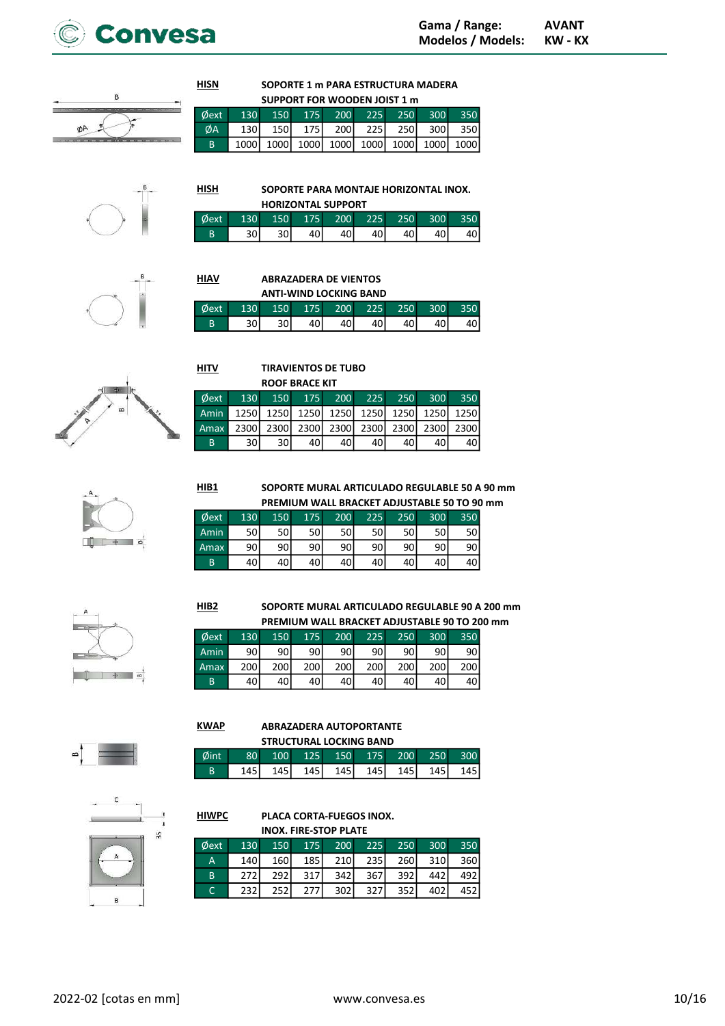

**KW - KX** 



# SOPORTE 1 m PARA ESTRUCTURA MADERA

|     | SUPPORT FOR WOODEN JOIST 1 m |  |  |  |  |  |  |                                         |  |  |  |
|-----|------------------------------|--|--|--|--|--|--|-----------------------------------------|--|--|--|
|     |                              |  |  |  |  |  |  | Øext 130 150 175 200 225 250 300 350    |  |  |  |
| ØA. |                              |  |  |  |  |  |  | 130 150 175 200 225 250 300 350         |  |  |  |
| B.  |                              |  |  |  |  |  |  | 1000 1000 1000 1000 1000 1000 1000 1000 |  |  |  |



 $HISH$ </u>

**HIAV** 

**HITV** 

Øext Amin

Amax

 $\overline{B}$ 

HIB1

 $HIB2$ 

Øext

Amin

Amax

 $\overline{B}$ 

**KWAP** 

130

 $\overline{90}$ 

200

40

150

 $\overline{90}$ 

200

40

130

1250

2300

30

SOPORTE PARA MONTAJE HORIZONTAL INOX.

|      |      |                  |     | <b>HORIZONTAL SUPPORT</b> |     |                  |                  |      |
|------|------|------------------|-----|---------------------------|-----|------------------|------------------|------|
| dext | 1301 | 150 <sup>1</sup> | 175 | 200 <sup>1</sup>          | 225 | 250 <sub>1</sub> | 300 <sub>1</sub> | 3501 |
|      | າດ   | 30               |     |                           | 4∩∣ |                  | 40I              | 40 I |



# **ABRAZADERA DE VIENTOS**

**TIRAVIENTOS DE TUBO** 

175

1250

2300

40

**ROOF BRACE KIT** 150

1250

2300

30

|      | <b>ANTI-WIND LOCKING BAND</b> |                  |     |     |     |     |                  |     |  |  |  |
|------|-------------------------------|------------------|-----|-----|-----|-----|------------------|-----|--|--|--|
| Øext | 130                           | 150 <sub>1</sub> | 175 | 200 | 225 | 250 | 300 <sup>2</sup> | 350 |  |  |  |
| B    | 30                            |                  |     |     |     |     |                  | 40  |  |  |  |

 $200$ 

1250

2300

40



 $\Box$   $\rightarrow$   $\Box$ 



# SOPORTE MURAL ARTICULADO REGULABLE 50 A 90 mm

SOPORTE MURAL ARTICULADO REGULABLE 90 A 200 mm PREMIUM WALL BRACKET ADJUSTABLE 90 TO 200 mm

250

 $\overline{90}$ 

200

40

300

 $\overline{90}$ 

200

40

225

 $\overline{90}$ 

200

40

225

1250

2300

40

250

1250

2300

40

300

1250

2300

40

350

1250

2300

40

350

 $\overline{90}$ 

200

40

|             |     |     |     |     |     |     |                  | PREMIUM WALL BRACKET ADJUSTABLE 50 TO 90 mm |  |
|-------------|-----|-----|-----|-----|-----|-----|------------------|---------------------------------------------|--|
| <b>Øext</b> | 130 | 150 | 175 | 200 | 225 | 250 | 300 <sup>2</sup> | 350                                         |  |
| Amin        | 50  | 50  | 50  | 50  | 50  |     | 50               | 50 l                                        |  |
| Amax        | 90  | 90  | 90  | 90  | 90  | 90  | 90               | 90                                          |  |
| B           | 40  | 40  | 40  |     | 40  |     |                  |                                             |  |

200

 $\overline{90}$ 

200

40

 $-90$   $\alpha$ 



### **ABRAZADERA AUTOPORTANTE**  $\cdots$

175

 $90$ 

200

40

|      | SIKULIUKAL LULKING BAND |                  |        |                  |              |     |     |  |  |  |  |  |
|------|-------------------------|------------------|--------|------------------|--------------|-----|-----|--|--|--|--|--|
| Øint | 80 <sub>1</sub>         | 100 <sub>1</sub> | $-125$ | 150 <sup>°</sup> | $\sqrt{175}$ | 200 |     |  |  |  |  |  |
| R    | 145 l                   | 145 l            | 145 l  | 145 l            | 145 I        | 145 | 145 |  |  |  |  |  |



### **HIWPC** PLACA CORTA-FUEGOS INOX. **INOX. FIRE-STOP PLATE**

| $\phi$ ext |     |     | 130 150 175 200 225 250 300 350 |     |     |                               |         |     |
|------------|-----|-----|---------------------------------|-----|-----|-------------------------------|---------|-----|
| i A'       |     |     | 140 160 185 210 235 260 310 360 |     |     |                               |         |     |
| B          | 272 | 292 |                                 |     |     | $317$ $342$ $367$ $392$ $442$ |         | 492 |
| C          | 232 | 252 | 277                             | 302 | 327 |                               | 352 402 | 452 |
|            |     |     |                                 |     |     |                               |         |     |



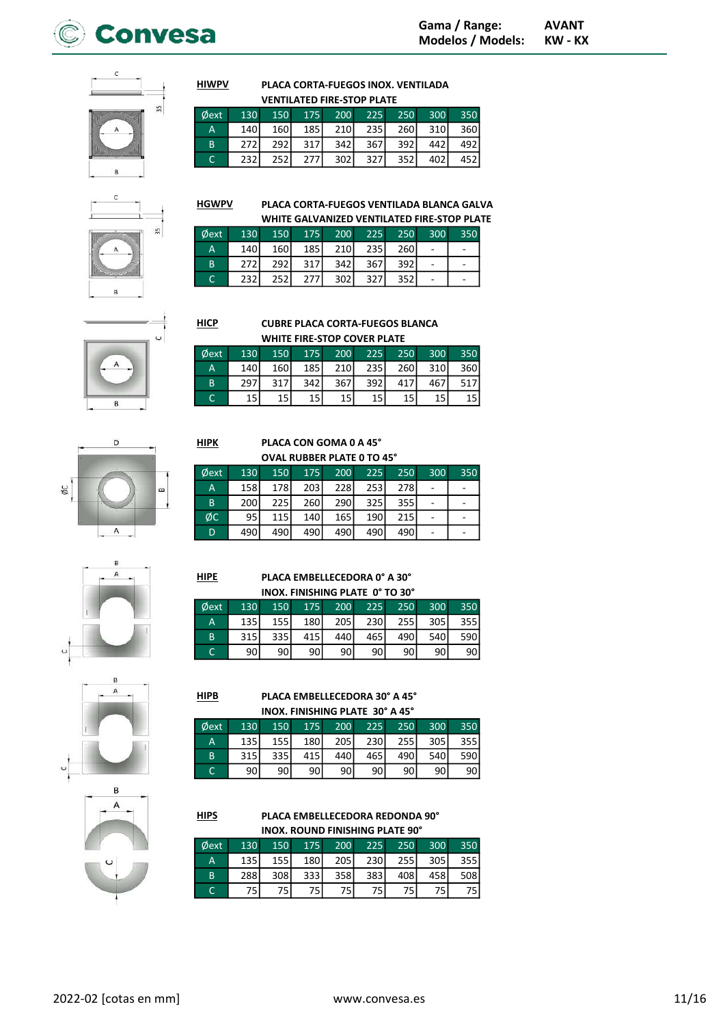



### PLACA CORTA-FUEGOS INOX. VENTILADA VENTILATED EIDE STOP BLATE

|                    | VENTILATED FINE-STOP PLATE |      |             |                  |             |     |     |                  |  |  |  |  |  |
|--------------------|----------------------------|------|-------------|------------------|-------------|-----|-----|------------------|--|--|--|--|--|
| <i><b>Dext</b></i> | 130                        | 150  | $-175$      | <b>200</b>       | 225         | 250 | 300 | 350              |  |  |  |  |  |
| А                  | 140                        | 160l | 185 l       | 210 <sup> </sup> | <b>2351</b> | 260 | 310 | 360 <sup>I</sup> |  |  |  |  |  |
| B                  | 272                        | 292  | 317         | 342              | 367         | 392 | 442 | 492              |  |  |  |  |  |
|                    | 232                        | 252  | <b>2771</b> | 302 <sub>1</sub> | 327         | 352 | 402 |                  |  |  |  |  |  |

 $35$ 

# **HGWPV**

Øe

**HIWPV** 

### PLACA CORTA-FUEGOS VENTILADA BLANCA GALVA WHITE GALVANIZED VENTILATED FIRE-STOP PLATE

| $\emptyset$ ext | 130              | 150  |     | 175 200    |     | 225 250 | 300 | 350 |
|-----------------|------------------|------|-----|------------|-----|---------|-----|-----|
| m               | 140 <sup>I</sup> | 160  | 185 | <b>210</b> | 235 | 260     |     |     |
| B               | 272              | 292I | 317 | 342        | 367 | 392     |     |     |
|                 | 232l             | 252  | 277 | 302 l      | 327 | 352     |     |     |

# $\overline{D}$ øc

 $\mathsf A$ 

# $HIPK$

 $HIDE$ 

 $HIPB$ 

Øext

 $\overline{A}$  $\overline{B}$ 

 $\overline{c}$ 

### PLACA CON GOMA 0 A 45° **OVAL RUBBER PLATE 0 TO 45°**

| Øext | 130 | 150              | 175              | 200 | 225 | 250 | 300 | 350 |
|------|-----|------------------|------------------|-----|-----|-----|-----|-----|
| Α    | 158 | 178              | 203              | 228 | 253 | 278 |     |     |
| B    | 200 | 225 <sup>1</sup> | 260 <sup>1</sup> | 290 | 325 | 355 |     |     |
| ØC   | 95  | 115              | 140 <sup>I</sup> | 165 | 190 | 215 |     |     |
| D    | 490 | 490              | 490 <sup> </sup> | 490 | 490 | 490 |     |     |

### PLACA EMBELLECEDORA 0° A 30° INOX. FINISHING PLATE 0° TO 30°

| Øext | 130   | 150              | 175 | 200             | 225 | 250              | 300 | 350  |
|------|-------|------------------|-----|-----------------|-----|------------------|-----|------|
| A    | 135 l | 155 <sup> </sup> | 180 | 205             | 230 | 255 <sup> </sup> | 305 | 355  |
| B    | 315   | 335              | 415 | 440             | 465 | 490              | 540 | 590  |
|      | 90    | 90               | 90  | 90 <sub>l</sub> | 90I | 90 l             | 90  | 90 I |

PLACA EMBELLECEDORA 30° A 45° INOX. FINISHING PLATE 30° A 45°

200

 $\overline{205}$ 

440

90

225

230

465

90

250

 $255$ 

490

90

350

 $355$ 

590

90

300

 $\overline{305}$ 

540

90

150

 $\frac{155}{155}$ 

 $335$ 

90

175

180

 $415$ 

90

130

 $\frac{135}{135}$ 

 $\overline{315}$ 

90



### $HIPS$ PLACA EMBELLECEDORA REDONDA 90° **INOX. ROUND FINISHING PLATE 90°**

| $\phi$ ext | 130 | 150   |                  | 175 200 | 225 | 250 | 300 | 350 |
|------------|-----|-------|------------------|---------|-----|-----|-----|-----|
| ۱A         | 135 | 155 l | 180 <sup> </sup> | 205     | 230 | 255 | 305 | 355 |
| B          | 288 | 308   | 333 l            | 358     | 383 | 408 | 458 | 508 |
|            |     |       |                  |         | 75  |     |     | 751 |
|            |     |       |                  |         |     |     |     |     |

|  |     |     | 277 |  |
|--|-----|-----|-----|--|
|  | 232 | 252 |     |  |
|  |     |     |     |  |

# **CUBRE PLACA CORTA-FUEGOS BLANCA**

|    | WHITE FIRE-STOP COVER PLATE |      |     |     |     |     |      |     |  |  |  |  |
|----|-----------------------------|------|-----|-----|-----|-----|------|-----|--|--|--|--|
| xt | 130                         | 150  | 175 | 200 | 225 | 250 | 300  | 350 |  |  |  |  |
|    | 140                         | 160l | 185 | 210 | 235 | 260 | 310l | 360 |  |  |  |  |
|    | 297                         | 317  | 342 | 367 | 392 | 417 | 467  | 517 |  |  |  |  |
|    |                             | 15   | 15  | 15  |     | 15  | 15   | 15  |  |  |  |  |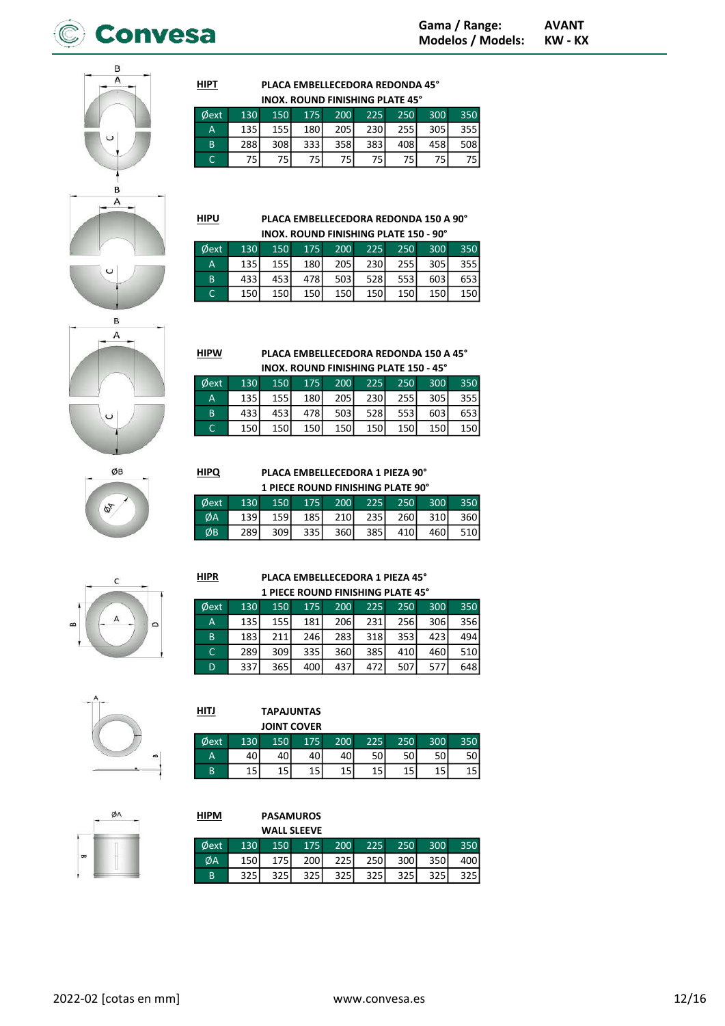

B Α  $\overline{B}$ A







# PLACA EMBELLECEDORA 1 PIEZA 90°

| 1 PIECE ROUND FINISHING PLATE 90° |                  |                  |       |       |                  |       |       |     |  |  |
|-----------------------------------|------------------|------------------|-------|-------|------------------|-------|-------|-----|--|--|
| <b>Øext</b>                       | 130 <sup>°</sup> | 150              |       |       | 175 200 225 250  |       | 300   | 350 |  |  |
| ØA                                | 139 <b>I</b>     | 159 l            | 185 l | 210 l | 235              | 260 l | -310l | 360 |  |  |
| ØΒ                                | 289              | 309 <sub>1</sub> | 335 l | 360   | 385 <sup> </sup> | 410I  | 460I  | 510 |  |  |

A 135 155 180 205 230 255 305 355 B 433 453 478 503 528 553 603 653 C | 150 150 150 150 150 150 150 150

# PLACA EMBELLECEDORA 1 PIEZA 45° 1 PIECE ROUND FINISHING PLATE 45°

| Øext | 130 | 150 | 175   | 200        | 225 | 250 | 300 | 350              |
|------|-----|-----|-------|------------|-----|-----|-----|------------------|
| A    | 135 | 155 | 181 l | <b>206</b> | 231 | 256 | 306 | 356 <sub>l</sub> |
| B    | 183 | 211 | 246   | 283        | 318 | 353 | 423 | 494 l            |
| C    | 289 | 309 | 335   | 360        | 385 | 410 | 460 | 510              |
| D    | 337 | 365 | 400   | 437        |     | 507 |     | 648              |

| HITJ |     |     | <b>TAPAJUNTAS</b>  |     |     |     |     |      |
|------|-----|-----|--------------------|-----|-----|-----|-----|------|
|      |     |     | <b>JOINT COVER</b> |     |     |     |     |      |
| Øext | 130 | 150 | 175                | 200 | 225 | 250 | 300 | 350  |
| A    | 40  | 40l | 40                 | 40  | 50l | 50  | 50  | 50 I |
| B    | 15  | 15  | 15                 | 15  | 15  | 15  | 15  |      |

|                   | ٠<br>×<br>١<br>Е          |   |
|-------------------|---------------------------|---|
| $\sim$<br>×.<br>٠ | ----<br><b>The Common</b> | Ì |
| m                 |                           |   |
| ŀ                 | ۱<br>j<br>۱               |   |

| <b>HIPM</b> |     |                    | <b>PASAMUROS</b> |     |     |     |     |      |
|-------------|-----|--------------------|------------------|-----|-----|-----|-----|------|
|             |     | <b>WALL SLEEVE</b> |                  |     |     |     |     |      |
| Øext        | 130 | 150                | 175              | 200 | 225 | 250 | 300 | 350  |
| ØA          | 150 | 175                | <b>200</b>       | 225 | 250 | 300 | 350 | 400  |
| B           | 325 | 325                | 325              | 325 | 325 | 325 | 325 | 325I |

HIPU

HIPQ

HIPR

**HIPT** 

### PLACA EMBELLECEDORA REDONDA 150 A 90° INOX. ROUND FINISHING PLATE 150 - 90°

PLACA EMBELLECEDORA REDONDA 45° INOX. ROUND FINISHING PLATE 45° Øext 130 150 175 200 225 250 300 350 A **135** 155 180 205 230 255 305 355 B 288 308 333 358 383 408 458 508 C 75 75 75 75 75 75 75 75

| <b>Oext</b> | 130   | 150   |                  | $175$ 200        | 225  | 250              | 300   | 350              |
|-------------|-------|-------|------------------|------------------|------|------------------|-------|------------------|
| A           | 135 l | 155 l | 180 <sup> </sup> | 205 <sup>1</sup> | 230l | 255              | 305 l | 355              |
| B.          | 433   | 453   | 478              | 503              | 528l | 553 <sup>I</sup> | 603I  | 653              |
|             | 150   | 150l  | 150 <sup>l</sup> | 150 <sup>I</sup> | 150  | 150              | 150l  | 150 <sup> </sup> |

PLACA EMBELLECEDORA REDONDA 150 A 45° INOX. ROUND FINISHING PLATE 150 - 45° Øext 130 150 175 200 225 250 300 350 HIPW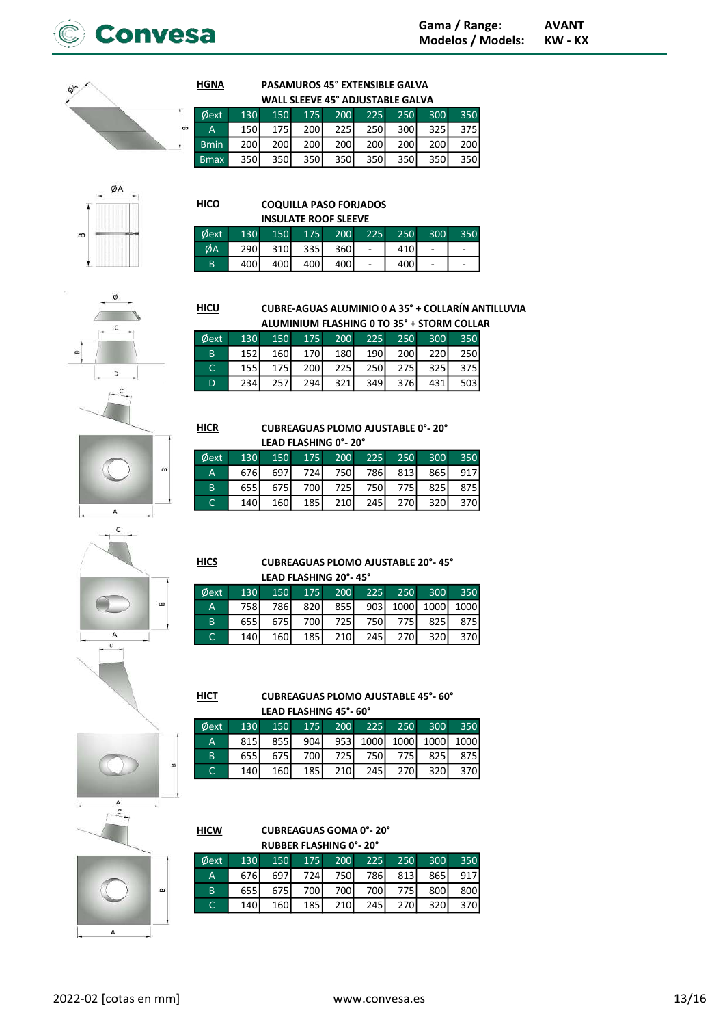

 $\overline{a}$ 

### PASAMUROS 45° EXTENSIBLE GALVA WALL SLEEVE 45° ADJUSTABLE GALVA

| $\phi$ ext   |      |  |  |                     | 130 150 175 200 225 250 300 | 350                             |
|--------------|------|--|--|---------------------|-----------------------------|---------------------------------|
| A            |      |  |  |                     |                             | 150 175 200 225 250 300 325 375 |
| <b>Bmin</b>  |      |  |  |                     | 200 200 200 200 200 200 200 | 200                             |
| <b>B</b> max | 350l |  |  | 350 350 350 350 350 | 350                         | 350                             |

| 111 II<br>п | H<br>t<br>ł<br>n<br>n<br>ı<br>٦ | ŀ<br>Ħ<br>۰ |
|-------------|---------------------------------|-------------|

| нісо |     |            |                             |      | <b>COQUILLA PASO FORJADOS</b> |
|------|-----|------------|-----------------------------|------|-------------------------------|
|      |     |            | <b>INSULATE ROOF SLEEVE</b> |      |                               |
| Øext | 130 | <b>150</b> | <b>175</b>                  | -200 |                               |
|      |     | 31NI       | 3351                        | วศกเ |                               |

150

160

 $\frac{175}{175}$ 

 $\overline{257}$ 

234

175

170

200

294

| ext | 130 150 175 200 225 250 300 |                 |  |     | 350 |
|-----|-----------------------------|-----------------|--|-----|-----|
| ŹΑ  |                             | 290 310 335 360 |  | 410 |     |
| B.  | 400                         | 400 400 400     |  |     |     |
|     |                             |                 |  |     |     |

200

180

225

 $\overline{321}$ 

**CUBRE-AGUAS ALUMINIO 0 A 35° + COLLARÍN ANTILLUVIA** ALUMINIUM FLASHING 0 TO 35° + STORM COLLAR

250

 $\overline{200}$ 

 $\overline{275}$ 

376

300

 $\overline{220}$ 

325

431

350  $\overline{250}$ 

 $\overline{375}$ 

 $503$ 

225

190

250

349



ø

A  $\mathsf{c}$ 

 $\overline{A}$ 





| Øext |     |     |     |     |         |     | 130 150 175 200 225 250 300 350 |
|------|-----|-----|-----|-----|---------|-----|---------------------------------|
| A    |     |     |     |     |         |     | 676 697 724 750 786 813 865 917 |
| B    |     |     |     |     |         |     | 655 675 700 725 750 775 825 875 |
| C    | 140 | 160 | 185 | 210 | 245 270 | 320 | 370                             |

**HICS** 

 $\alpha$ 

# **CUBREAGUAS PLOMO AJUSTABLE 20°-45°**

| LEAD FLASHING 20°- 45° |      |                  |      |             |       |       |             |                            |  |  |
|------------------------|------|------------------|------|-------------|-------|-------|-------------|----------------------------|--|--|
| ⊅ext                   | 130  |                  |      | 150 175 200 |       |       | 225 250 300 | 350                        |  |  |
| A                      | 758I | 786I             |      |             |       |       |             | 820 855 903 1000 1000 1000 |  |  |
| B                      | 655  | 675              | 700l | 725         | 750   | 775 l | 825         | 875                        |  |  |
| C                      | 140  | 160 <sup>1</sup> | 185  | 210         | 245 l | 270   | 320l        | 370I                       |  |  |

**CUBREAGUAS PLOMO AJUSTABLE 45°-60°**  $HICT$ **I EAD ELACHING AFT COP** 

| LEAD FLASHING 45 - 00 |     |     |       |            |                         |     |      |                         |  |  |
|-----------------------|-----|-----|-------|------------|-------------------------|-----|------|-------------------------|--|--|
| ext/                  | 130 |     |       |            | 150 175 200 225 250 300 |     |      | 350                     |  |  |
| $\overline{A}$        | 815 | 855 | 904 l |            |                         |     |      | 953 1000 1000 1000 1000 |  |  |
| <sup>B</sup>          | 655 | 675 | 700l  | 725        | 750                     | 775 | 825  | 875                     |  |  |
| $\subset$             | 140 | 160 | 185 l | <b>210</b> | 245                     | 270 | 320l | 370l                    |  |  |



# $\alpha$ A

 $\epsilon$ 

|                               | <b>CUBREAGUAS GOMA 0°-20°</b> |     |     |                    |            |                          |            |  |  |  |  |
|-------------------------------|-------------------------------|-----|-----|--------------------|------------|--------------------------|------------|--|--|--|--|
| <b>RUBBER FLASHING 0°-20°</b> |                               |     |     |                    |            |                          |            |  |  |  |  |
|                               |                               |     |     |                    |            | 300                      | 350        |  |  |  |  |
| 676                           | 697                           |     |     |                    |            | 865                      | 917        |  |  |  |  |
| 655                           | 675                           |     | 700 |                    | 775        | 800                      | 800        |  |  |  |  |
| 140                           | 160                           | 185 | 210 |                    | 270        | 320                      | 370        |  |  |  |  |
|                               |                               | 130 | 150 | 175<br>724I<br>700 | 200<br>750 | 225<br>786<br>700<br>245 | 250<br>813 |  |  |  |  |



 $\overline{D}$ 

**HICR** 

**HGNA**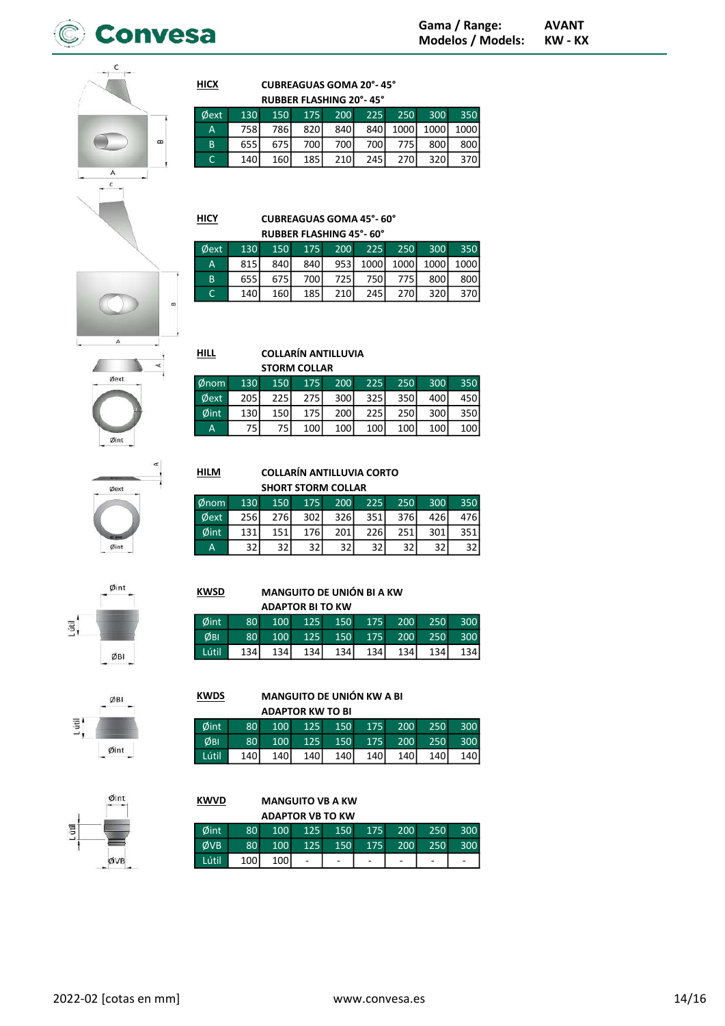

 $\alpha$  $\overline{A}$ 

 $\mathsf{C}$ 

**CUBREAGUAS GOMA 20°-45°** 

| <b>RUBBER FLASHING 20°-45°</b> |     |      |      |                     |      |               |      |      |  |
|--------------------------------|-----|------|------|---------------------|------|---------------|------|------|--|
| ⊅ext                           | 130 |      |      | 150 175 200 225 250 |      |               | 300  | 350  |  |
| A                              | 758 | 786I | 820  | 840 <sup>I</sup>    |      | 840 1000 1000 |      | 1000 |  |
| B                              | 655 | 675  | 700l | 700 <sup>1</sup>    | 700l | 775           | 800l | 800  |  |
|                                | 140 | 160  | 185  | 210                 | 245  | 270           | 320  | 370  |  |

**HICY** 

 $HILL$ 

Ør  $\phi$  $\phi$ 

**HILM** 

**KWSD** 

Øint

ØBI

Lútil

**KWDS** 

Øint  $\overline{\phi}$ BI

Lútil

**HICX** 

# **CUBREAGUAS GOMA 45°-60°**

| <b>RUBBER FLASHING 45°-60°</b> |                  |                  |     |       |        |       |                  |           |  |  |  |
|--------------------------------|------------------|------------------|-----|-------|--------|-------|------------------|-----------|--|--|--|
| <b>Oext</b>                    | 130              | 150              | 175 | 200   | $-225$ | 250   | 300 <sup>°</sup> | 350       |  |  |  |
| А                              | 815              | 840 <sup>I</sup> | 840 | 953   | 1000   | 1000l |                  | 1000 1000 |  |  |  |
| B                              | 655              | 675              | 700 | 725 l | 750    | 775   | 800l             | 800l      |  |  |  |
|                                | 140 <sub>1</sub> | 160              | 185 | 210   | 245    | 270   | 320l             | 370I      |  |  |  |



### **COLLARÍN ANTILLUVIA**

|           |     |             | <b>STORM COLLAR</b> |                  |     |     |      |     |
|-----------|-----|-------------|---------------------|------------------|-----|-----|------|-----|
| <b>om</b> | 130 | 150         | 175                 | 200              | 225 | 250 | 300  | 350 |
| ext       | 205 | <b>2251</b> | 275                 | 300              | 325 | 350 | 400l | 450 |
| int       | 130 | 150         | 175                 | 200 <sup>1</sup> | 225 | 250 | 300  | 350 |
| A         | 75' | 75          | 100                 | 100              | 100 | 100 | 100  | 100 |



# **COLLARÍN ANTILLUVIA CORTO**

**ADAPTOR BITO KW** 

125

125

134

**ADAPTOR KW TO BI** 

125

125

140

100

100

134

100

100

140

80

80

134

80

80

140

| <b>SHORT STORM COLLAR</b> |     |     |                  |     |     |     |     |                 |  |
|---------------------------|-----|-----|------------------|-----|-----|-----|-----|-----------------|--|
| nom                       | 130 | 150 | 175              | 200 | 225 | 250 | 300 | 350             |  |
| ⊅ext                      | 256 | 276 | 302 <sub>l</sub> | 326 | 351 | 376 | 426 | 476I            |  |
| 2int                      | 131 | 151 | 176              | 201 | 226 | 251 | 301 | 351             |  |
| А                         | 32  | 32  | 32               | 32  | 32  | 32  | 32  | 32 <sub>1</sub> |  |

**MANGUITO DE UNIÓN BI A KW** 

150

150

134

150

150

140

**MANGUITO DE UNIÓN KW A BI** 

175

175

134

175

175

140

200

200

134

200

200

140

250

250

 $\frac{134}{ }$ 

250

250

140

300

300

134

300

300

140

|      | Øint |
|------|------|
| itil | ń    |
| ٧    |      |

# ØBI  $\overline{u}$  $\emptyset$ int



### **KWVD MANGUITO VB A KW**

|       |                 | <b>ADAPTOR VB TO KW</b> |     |     |     |            |     |     |
|-------|-----------------|-------------------------|-----|-----|-----|------------|-----|-----|
| Øint  | 80 <sup>1</sup> | 100 <sup>1</sup>        | 125 | 150 | 175 | 200        | 250 | 300 |
| ØVB   | 80 <sup>1</sup> | 100 <sup>1</sup>        | 125 | 150 | 175 | <b>200</b> | 250 | 300 |
| Lútil | 100             | 100 <sub>1</sub>        |     |     |     | -          |     |     |



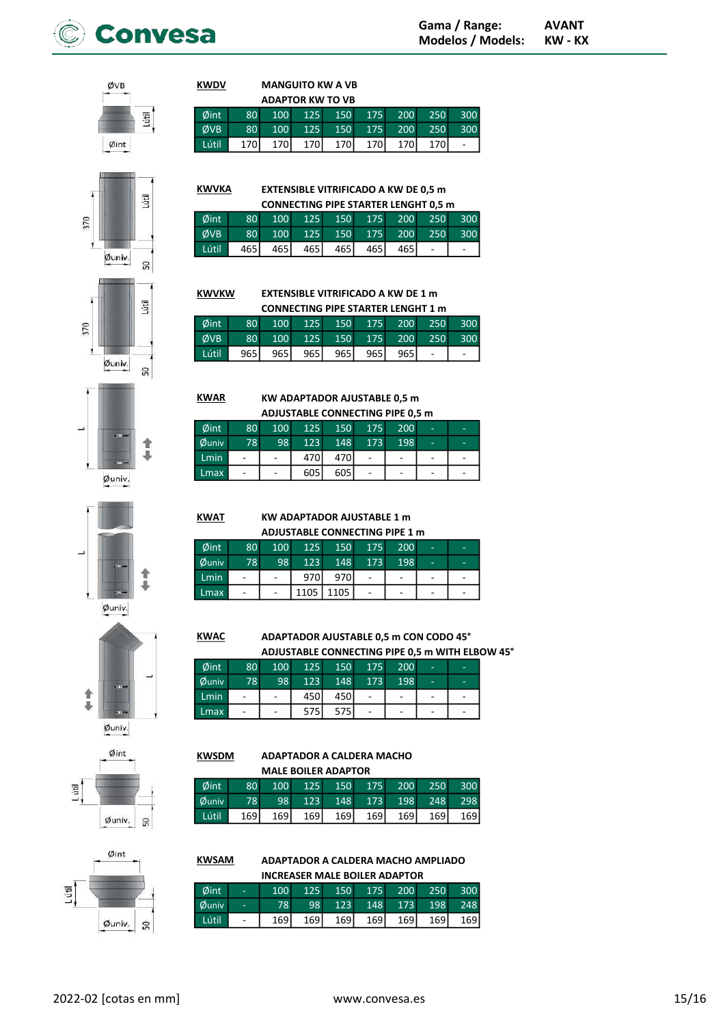

ØVB







|         | Øint 80 100 125 150 175 200 250 300 |  |  |                             |  |
|---------|-------------------------------------|--|--|-----------------------------|--|
|         | ØVB 80 100 125 150 175 200 250 300  |  |  |                             |  |
| Lútil I |                                     |  |  | 170 170 170 170 170 170 170 |  |
|         |                                     |  |  |                             |  |

EXTENSIBLE VITRIFICADO A KW DE 0,5 m **KWVKA** 

|       | <b>CONNECTING PIPE STARTER LENGHT 0.5 m</b> |  |                         |  |  |       |  |     |  |  |  |
|-------|---------------------------------------------|--|-------------------------|--|--|-------|--|-----|--|--|--|
| Øint  | 80 <sub>1</sub>                             |  | 100 125 150 175 200 250 |  |  |       |  | 300 |  |  |  |
| ØVB   | 80                                          |  | 100 125 150 175 200 250 |  |  |       |  | 300 |  |  |  |
| Lútil | 465 l                                       |  | 465 465 465 465         |  |  | 465 I |  |     |  |  |  |

EXTENSIBLE VITRIFICADO A KW DE 1 m **KWVKW** 

| <b>CONNECTING PIPE STARTER LENGHT 1 m</b> |                 |                  |       |       |                     |     |     |     |  |  |
|-------------------------------------------|-----------------|------------------|-------|-------|---------------------|-----|-----|-----|--|--|
| Øint                                      | 80 <sub>1</sub> | 100 <sup>1</sup> |       |       | 125 150 175 200 250 |     |     | 300 |  |  |
| ØVB                                       | 80 <sub>1</sub> | 100 <sup>1</sup> | 125   | 150   | $-175$              | 200 | 250 | 300 |  |  |
| Lútil                                     | 965             | 965 l            | 965 l | 965 l | 9651                | 965 |     |     |  |  |

KWAR

**KWAT** 

KW ADAPTADOR AJUSTABLE 0,5 m ADJUSTABLE CONNECTING PIPE 0,5 m

| ADJUSTABLE CONNECTING PIPE 0.5 M |                              |                          |      |     |     |     |                          |   |  |  |
|----------------------------------|------------------------------|--------------------------|------|-----|-----|-----|--------------------------|---|--|--|
| $\emptyset$ int                  | 80 <sup>°</sup>              | 100                      | 125  | 150 | 175 | 200 | -                        | - |  |  |
| $\emptyset$ univ                 | 78                           | 98                       | 123  | 148 | 173 | 198 | -                        | - |  |  |
| <b>Lmin</b>                      | $\qquad \qquad \blacksquare$ | $\overline{\phantom{a}}$ | 470I | 470 |     | ٠   | $\overline{\phantom{0}}$ | - |  |  |
| <b>Lmax</b>                      | $\qquad \qquad -$            | $\qquad \qquad -$        | 605  | 605 |     | ٠   | ۰                        |   |  |  |

KW ADAPTADOR AJUSTABLE 1 m ADJUSTABLE CONNECTING PIPE 1 m Øint 80 100 125 150 175 200 - - Øuniv 78 98 123 148 173 198 - - Lmin - - | - | 970 970 - | - | - | -Lmax - | - |1105 |1105 | - | - | - | -

ä Øuniv.





Øint L útil Øuniv. SO<sub>1</sub>

KWAC

# Øint 80 100 125 150 175 200 - - Øuniv 78 98 123 148 173 198 - -

ADAPTADOR AJUSTABLE 0,5 m CON CODO 45°

ADJUSTABLE CONNECTING PIPE 0,5 m WITH ELBOW 45°

| <b>Wulliv</b> | , o                      | JO 11 | ᆂᆇᇦ | - 170 | 17 J I | 150 L |                          |  |
|---------------|--------------------------|-------|-----|-------|--------|-------|--------------------------|--|
| Lmin          | $\overline{\phantom{0}}$ | -     | 450 | 450   | -      | ۰     | $\overline{\phantom{a}}$ |  |
| Lmax          | $\overline{\phantom{0}}$ | -     |     | 575   | -      | ٠     | $\overline{\phantom{0}}$ |  |
|               |                          |       |     |       |        |       |                          |  |

### ADAPTADOR A CALDERA MACHO MALE BOILER ADAPTOR KWSDM

|       | Øint 80 100 125 150 175 200 250 300 |  |                                     |  |  |
|-------|-------------------------------------|--|-------------------------------------|--|--|
|       | Øuniv 78 98 123 148 173 198 248 298 |  |                                     |  |  |
| Lútil |                                     |  | 169 169 169 169 169 169 169 169 169 |  |  |
|       |                                     |  |                                     |  |  |

ADAPTADOR A CALDERA MACHO AMPLIADO INCREASER MALE BOILER ADAPTOR **KWSAM** 

| Øint                | ъ,                       | 100              |     |     | 125 150 175 200 |     | 250   | 300   |
|---------------------|--------------------------|------------------|-----|-----|-----------------|-----|-------|-------|
| <b><i>Ouniv</i></b> | $\overline{a}$           | 78               | 98  |     | 123 148 173     |     | 198   | 248   |
| Lútil               | $\overline{\phantom{a}}$ | 169 <sup>I</sup> | 169 | 169 | 169             | 169 | 169 l | 169 l |
|                     |                          |                  |     |     |                 |     |       |       |

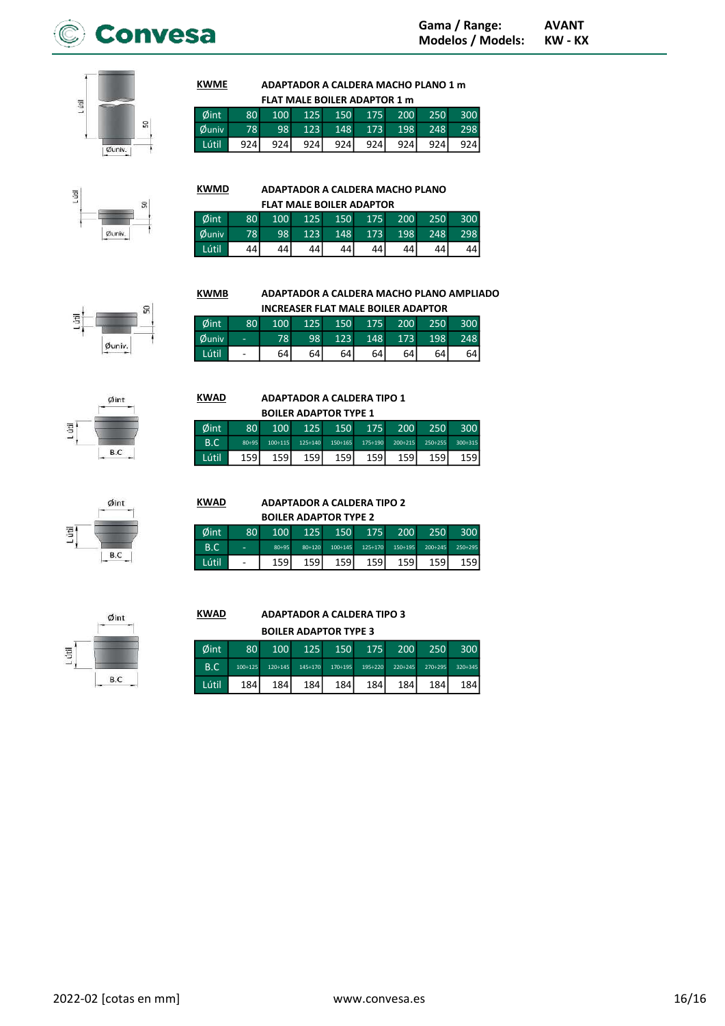



### ADAPTADOR A CALDERA MACHO PLANO 1 m FLAT MALE BOILER ADAPTOR 1 m **KWME**

| FLAT MALE BOILER ADAPTOR 1 m |                 |      |     |       |     |                         |      |        |  |  |  |  |  |
|------------------------------|-----------------|------|-----|-------|-----|-------------------------|------|--------|--|--|--|--|--|
| Øint                         | 80 <sup>1</sup> |      |     |       |     | 100 125 150 175 200 250 |      | $-300$ |  |  |  |  |  |
| <b><i>Ouniv</i></b>          | 78              | 98   |     |       |     | 123 148 173 198 248     |      | 298    |  |  |  |  |  |
| Lútil                        | 924             | 924I | 924 | 924 l | 924 | 924                     | 924I | 924    |  |  |  |  |  |

# L útil 9 Øuniv

### ADAPTADOR A CALDERA MACHO PLANO KWMD

|       | <b>FLAT MALE BOILER ADAPTOR</b> |     |     |                 |         |      |     |                   |  |  |  |  |  |  |
|-------|---------------------------------|-----|-----|-----------------|---------|------|-----|-------------------|--|--|--|--|--|--|
| Øint  | 80 <sup>°</sup>                 | 100 |     | 125 150 175 200 |         |      | 250 | .300 <sub>1</sub> |  |  |  |  |  |  |
| Øuniv | 78                              | 98  | 123 |                 | 148 173 | 198  | 248 | 298               |  |  |  |  |  |  |
| Lútil | 44                              | 44  | 44  | 44              | 44      | 44 I | 44  | 44                |  |  |  |  |  |  |

 $\mathbf{Q}$ itil Øuniv.

### INCREASER FLAT MALE BOILER ADAPTOR Øint 80 100 125 150 175 200 250 300 Øuniv - 78 98 123 148 173 198 248 Lútil - 64 64 64 64 64 64 64

ADAPTADOR A CALDERA TIPO 1 BOILER ADAPTOR TYPE 1

Øint 80 100 125 150 175 200 250 300 B.C 80÷95 100÷115 125÷140 150÷165 175÷190 200÷215 250÷255 300÷315 Lútil 159 159 159 159 159 159 159 159

ADAPTADOR A CALDERA MACHO PLANO AMPLIADO



# Lüfil  $B.C$

### ADAPTADOR A CALDERA TIPO 2 BOILER ADAPTOR THE 3 KWALA D

|       | <b>DUILER ADAPTUR TYPE Z</b> |                  |        |                |                |                |                |                  |  |  |  |  |  |
|-------|------------------------------|------------------|--------|----------------|----------------|----------------|----------------|------------------|--|--|--|--|--|
| Øint  | 80 <sup>1</sup>              | 100 <sup>1</sup> | 125    | 150            | 175            | <b>200</b>     | 250            | 300 <sup>1</sup> |  |  |  |  |  |
| B.C   | $\equiv$                     | $80 - 95$        | 80÷120 | $100 \div 145$ | $125 \div 170$ | $150 \div 195$ | $200 \div 245$ | 250÷295          |  |  |  |  |  |
| Lútil | $\overline{\phantom{a}}$     | 159 l            | 159l   | 159 l          | 159            | 159            | 159 <b> </b>   | 159 l            |  |  |  |  |  |

# $Qint$ Lútil  $B.C$

### ADAPTADOR A CALDERA TIPO 3 BOILER ADAPTOR TYPE 3 **KWAD**

|       | <b>BUILER ADAPTOR TYPE 3</b> |                  |                |                |         |         |                |                  |  |  |  |  |  |
|-------|------------------------------|------------------|----------------|----------------|---------|---------|----------------|------------------|--|--|--|--|--|
| Øint  | 80                           | 100              | 125            | 150            | 175     | 200     | 250            | 300 <sup>1</sup> |  |  |  |  |  |
| B.C   | $100 \div 125$               | $120 \div 145$   | $145 \div 170$ | $170 \div 195$ | 195÷220 | 220÷245 | $270 \div 295$ | 320÷345          |  |  |  |  |  |
| Lútil | 184                          | 184 <sup>I</sup> | 184            | 184            | 184     | 184     | 184            | 184 l            |  |  |  |  |  |



| Øint | <b>KWAD</b> |
|------|-------------|
|      | Øint        |
|      |             |

h

**KWMB** 

KWAD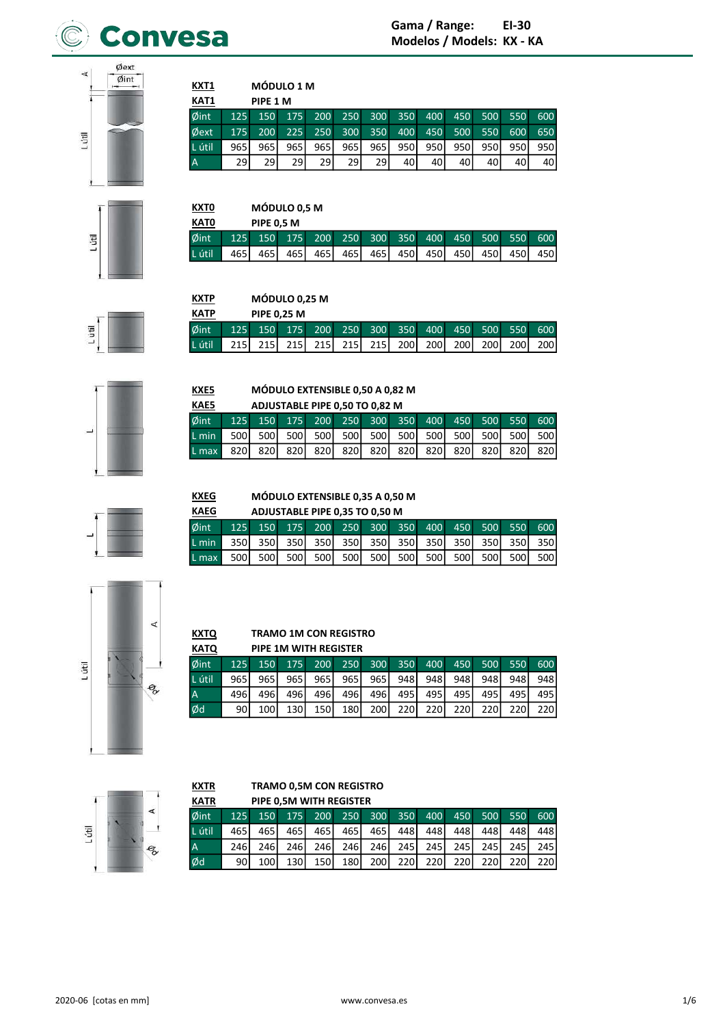

Øext  $\prec$  $\sigma$ int Lútil

**Fil** 

E

| <u>KXT1</u><br>KAT1 |     | PIPE 1 M         | <b>MÓDULO 1 M</b> |            |     |                  |      |      |     |     |     |     |
|---------------------|-----|------------------|-------------------|------------|-----|------------------|------|------|-----|-----|-----|-----|
| $\emptyset$ int     | 125 | 150 <sup>°</sup> | 175               | <b>200</b> | 250 | 300 <sup>°</sup> | 350  | 400  | 450 | 500 | 550 | 600 |
|                     |     |                  |                   |            |     |                  |      |      |     |     |     |     |
| Øext                | 175 | 200              | 225               | 250        | 300 | 350              | 400  | 450  | 500 | 550 | 600 | 650 |
| L útil              | 965 | 965              | 965               | 965        | 965 | 965 l            | 950l | 950l | 950 | 950 | 950 | 950 |
| $\overline{A}$      | 29  | 29               | 29                | 29         | 29  | 29               | 40   | 40   | 40  | 40  | 40  | 40  |

| <u>кхто</u> |       | <b>MÓDULO 0,5 M</b> |                             |       |     |       |       |              |       |     |             |     |  |
|-------------|-------|---------------------|-----------------------------|-------|-----|-------|-------|--------------|-------|-----|-------------|-----|--|
| <b>KATO</b> |       | <b>PIPE 0.5 M</b>   |                             |       |     |       |       |              |       |     |             |     |  |
| Øint        | 125   |                     | 150 175 200 250 300 350 400 |       |     |       |       |              |       |     | 450 500 550 | 600 |  |
| L útil      | 465 l | 4651                | 465                         | 465 l | 465 | 465 l | 450 l | 450 <b>I</b> | 450 l | 450 | 450         | 450 |  |

| <b>KXTP</b> | MÓDULO 0.25 M |                    |     |     |                  |                  |                     |       |                  |       |             |       |
|-------------|---------------|--------------------|-----|-----|------------------|------------------|---------------------|-------|------------------|-------|-------------|-------|
| <b>KATP</b> |               | <b>PIPE 0.25 M</b> |     |     |                  |                  |                     |       |                  |       |             |       |
| $\phi$ int  | $125 -$       | $\sqrt{150}$       |     |     |                  |                  | 175 200 250 300 350 |       | 400 450 500      |       | 550         | 600   |
| L útil      |               | 215I               | 215 | 215 | 215 <sup> </sup> | 215 <sup> </sup> | 200 <sup>1</sup>    | 200 l | 200 <sup>1</sup> | 200 l | <b>2001</b> | 200 l |



# KAE5

KXE5

**KXTQ** 

**KXTR** 

### MÓDULO EXTENSIBLE 0,50 A 0,82 M ADJUSTABLE PIPE 0.50 TO 0.82 M

| ື      | ADJUSTABLE FIFE 0.30 TO 0.82 IVI |  |  |  |  |  |  |  |  |  |  |                                                 |
|--------|----------------------------------|--|--|--|--|--|--|--|--|--|--|-------------------------------------------------|
| dint - |                                  |  |  |  |  |  |  |  |  |  |  | 125 150 175 200 250 300 350 400 450 500 550 600 |
|        |                                  |  |  |  |  |  |  |  |  |  |  |                                                 |
|        |                                  |  |  |  |  |  |  |  |  |  |  |                                                 |



### **KXEG** MÓDULO EXTENSIBLE 0,35 A 0,50 M

| <b>AEG</b> | ADJUSTABLE PIPE 0.35 TO 0.50 M |  |  |  |  |  |  |  |  |  |  |                                                 |
|------------|--------------------------------|--|--|--|--|--|--|--|--|--|--|-------------------------------------------------|
| sint -     |                                |  |  |  |  |  |  |  |  |  |  | 125 150 175 200 250 300 350 400 450 500 550 600 |
|            |                                |  |  |  |  |  |  |  |  |  |  |                                                 |
|            |                                |  |  |  |  |  |  |  |  |  |  |                                                 |



# **TRAMO 1M CON REGISTRO**

| <b>KATQ</b> |     |       |       | PIPE 1M WITH REGISTER |     |       |     |             |     |                  |     |             |
|-------------|-----|-------|-------|-----------------------|-----|-------|-----|-------------|-----|------------------|-----|-------------|
| Øint        | 125 | 150   | 175   | 200                   | 250 | 300   | 350 | 400         | 450 | 500              | 550 | 600         |
| L útil      | 965 | 965 l | 9651  | 965                   | 965 | 965 l | 948 | 948         | 948 | 948              | 948 | 948         |
| A           | 496 | 496   | 496 l | 496                   | 496 | 496I  | 495 | 495         | 495 | 495              | 495 | 495         |
| Ød          | 90  | 100   | 1301  | 150                   | 180 | 200 l | 220 | <b>2201</b> | 220 | 220 <sub>1</sub> | 220 | <b>2201</b> |



# TRAMO 0,5M CON REGISTRO

| <b>KATR</b>    |       |                  |            | PIPE 0.5M WITH REGISTER |                  |                  |                  |             |      |         |       |       |
|----------------|-------|------------------|------------|-------------------------|------------------|------------------|------------------|-------------|------|---------|-------|-------|
| $\phi$ int     | 125   | 150 <sup>1</sup> | 175        | <b>200</b>              | 250              |                  | 300 350          | 400         |      | 450 500 | 550   | 600   |
| L útil         | 465 l | 465 I            | 465 l      | 465                     | 465 l            | 465              | 448              | 448         | 448  | 448     | 448I  | 448 l |
| $\overline{A}$ | 246I  | 246I             | 246 l      | 246 <sup>I</sup>        | 246 <sup>I</sup> | 246              | 245 <sup>I</sup> | 245 l       | 245  | 245     | 245 l | 245 l |
| Ød             | 90    | 100 <sup>1</sup> | <b>130</b> | 150                     | 180 <sup>1</sup> | 200 <sup>1</sup> | <b>220</b>       | <b>2201</b> | 220l | 220     | 220   | 220I  |



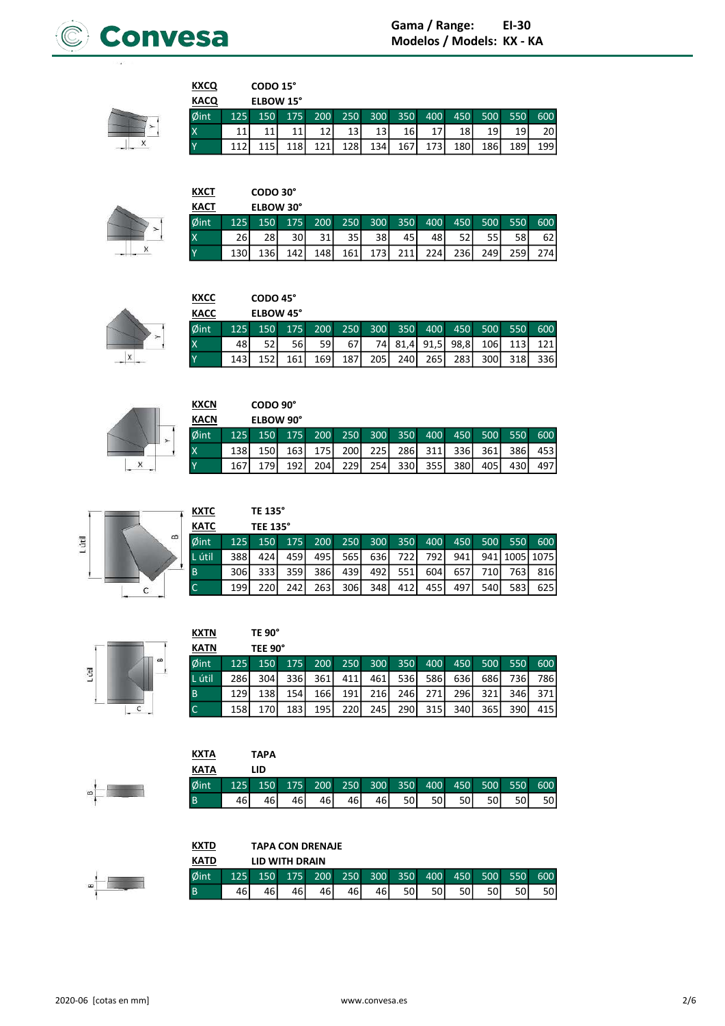



| <b>KXCQ</b> |     | CODO 15°  |      |     |     |     |                 |       |     |     |     |     |
|-------------|-----|-----------|------|-----|-----|-----|-----------------|-------|-----|-----|-----|-----|
| <b>KACQ</b> |     | ELBOW 15° |      |     |     |     |                 |       |     |     |     |     |
| $\phi$ int  | 125 | 150       | 175  | 200 | 250 | 300 | 350             | 400   | 450 | 500 | 550 | 600 |
| ΙX          | 11  |           |      |     | 13  | 13  | 16 <sup>1</sup> | 17    | 18  | 19  | 19  | 20  |
| Y           |     |           | 1181 | 121 | 128 | 134 | 167             | 173 l | 180 | 186 | 189 | 199 |

| ×<br>v | × | ٠<br>m<br>τ |
|--------|---|-------------|
|        |   |             |

| <b>KXCT</b>             |     | CODO 30°         |                  |     |      |       |      |     |     |     |     |     |
|-------------------------|-----|------------------|------------------|-----|------|-------|------|-----|-----|-----|-----|-----|
| <b>KACT</b>             |     | ELBOW 30°        |                  |     |      |       |      |     |     |     |     |     |
| Øint                    | 125 | 150 <sup>1</sup> | 175              | 200 | 250  | 300   | 350  | 400 | 450 | 500 | 550 | 600 |
| $\overline{\mathsf{x}}$ | 26  | 28               | 30               | 31  | 35 I | 38 I  | 45   | 48  | 52  | 55  | 58  | 62  |
| <b>Y</b>                | 130 | 136              | 142 <sub>1</sub> | 148 | 161  | 173 l | 211l | 224 | 236 | 249 | 259 | 274 |

| <b>KXCC</b> |     | CODO 45°  |     |      |     |       |                  |      |      |      |     |     |
|-------------|-----|-----------|-----|------|-----|-------|------------------|------|------|------|-----|-----|
| <b>KACC</b> |     | ELBOW 45° |     |      |     |       |                  |      |      |      |     |     |
| Øint        | 125 | 150       | 175 | 200  | 250 | 300   | 350              | 400  | 450  | 500  | 550 | 600 |
| ΙX          | 48  | 52        | 56  | 59   | 67  | 74I   | 81,4             | 91,5 | 98.8 | 106  | 113 | 121 |
| <b>Y</b>    | 143 | 152       | 161 | 1691 | 187 | 205 l | 240 <sup>I</sup> | 265  | 2831 | 300l | 318 | 336 |



| <b>KXCN</b> |     | CODO 90°         |       |                  |                  |                  |                  |     |      |       |      |     |
|-------------|-----|------------------|-------|------------------|------------------|------------------|------------------|-----|------|-------|------|-----|
| <b>KACN</b> |     | ELBOW 90°        |       |                  |                  |                  |                  |     |      |       |      |     |
| Øint        | 125 | 150 <sup>°</sup> | 175   | 200              | 250              | 300 <sup>°</sup> | 350              | 400 | 450  | 500   | 550  | 600 |
|             | 138 | 1501             | 163 l | <b>175</b>       | 200 <sup>1</sup> | <b>2251</b>      | 286              | 311 | 336I | 361 l | 386I | 453 |
|             | 167 | 1791             | 192   | 204 <sub>1</sub> | <b>2291</b>      | 254              | 330 <sup>1</sup> | 355 | 380I | 405 l | 430  | 497 |



| κтс              |      | TE 135°          |     |      |       |       |      |             |       |      |                   |     |
|------------------|------|------------------|-----|------|-------|-------|------|-------------|-------|------|-------------------|-----|
| ΆТС              |      | <b>TEE 135°</b>  |     |      |       |       |      |             |       |      |                   |     |
| <sup>S</sup> int | 125  | 150 <sup>°</sup> | 175 | 200  | 250   |       |      | 300 350 400 | 450   | 500  | 550               | 600 |
| útil             | 388I | 424              | 459 | 495  | 565 l | 636 l | 722  | 792 l       | 941 l |      | 941   1005   1075 |     |
|                  | 306I | 333I             | 359 | 386l | 439   | 4921  | 551l | 604         | 657l  | 710I | 7631              | 816 |
|                  | 199  | 220              | 242 | 263  | 306   | 348   | 412  | 455         | 497   | 540  | 583               | 625 |

| - |  | Chit. |
|---|--|-------|
|   |  | ω     |
| È |  | ٠     |
|   |  |       |
|   |  |       |

| <b>KXTN</b> |     | <b>TE 90°</b> |      |     |       |       |             |     |              |     |      |      |
|-------------|-----|---------------|------|-----|-------|-------|-------------|-----|--------------|-----|------|------|
| <b>KATN</b> |     | TEE 90°       |      |     |       |       |             |     |              |     |      |      |
| Øint        | 125 | 150           | 175  | 200 | 250   | 300   | 350         | 400 | 450          | 500 | 550  | 600  |
| L útil      | 286 | 3041          | 336l | 361 | 411   | 461 l | 536I        | 586 | 636 <b>1</b> | 686 | 736l | 7861 |
| B           | 129 | 138           | 154  | 166 | 191   | 216   | 246I        | 271 | 296I         | 321 | 346  | 371  |
|             | 158 | 170           | 183  | 195 | 220 l | 245   | <b>2901</b> | 315 | 340I         | 365 | 390  | 415  |

| KXTA        |     | <b>TAPA</b> |    |    |                 |    |      |      |     |      |     |     |
|-------------|-----|-------------|----|----|-----------------|----|------|------|-----|------|-----|-----|
| <b>KATA</b> |     | LID         |    |    |                 |    |      |      |     |      |     |     |
| Øint        | 125 | 150         |    |    | 175 200 250 300 |    | 350  | 400  | 450 | .500 | 550 | 600 |
|             | 46  | 46          | 46 | 46 | 46              | 46 | 50 l | 50 l | 50  | 50   | 50  | 50  |

| KXTD        |         | <b>TAPA CON DRENAJE</b> |                                                                                                                  |    |    |    |      |    |    |    |    |     |  |
|-------------|---------|-------------------------|------------------------------------------------------------------------------------------------------------------|----|----|----|------|----|----|----|----|-----|--|
| <b>KATD</b> |         | LID WITH DRAIN          |                                                                                                                  |    |    |    |      |    |    |    |    |     |  |
| Øint        | $125 -$ |                         | 300<br><b>200</b><br>350<br>450<br>250<br>400 <sup>1</sup><br>500 <sup>°</sup><br>550 <sup>1</sup><br>175<br>150 |    |    |    |      |    |    |    |    | 600 |  |
| B           | 46      | 46                      | 46                                                                                                               | 46 | 46 | 46 | 50 l | 50 | 50 | 50 | 50 | 50  |  |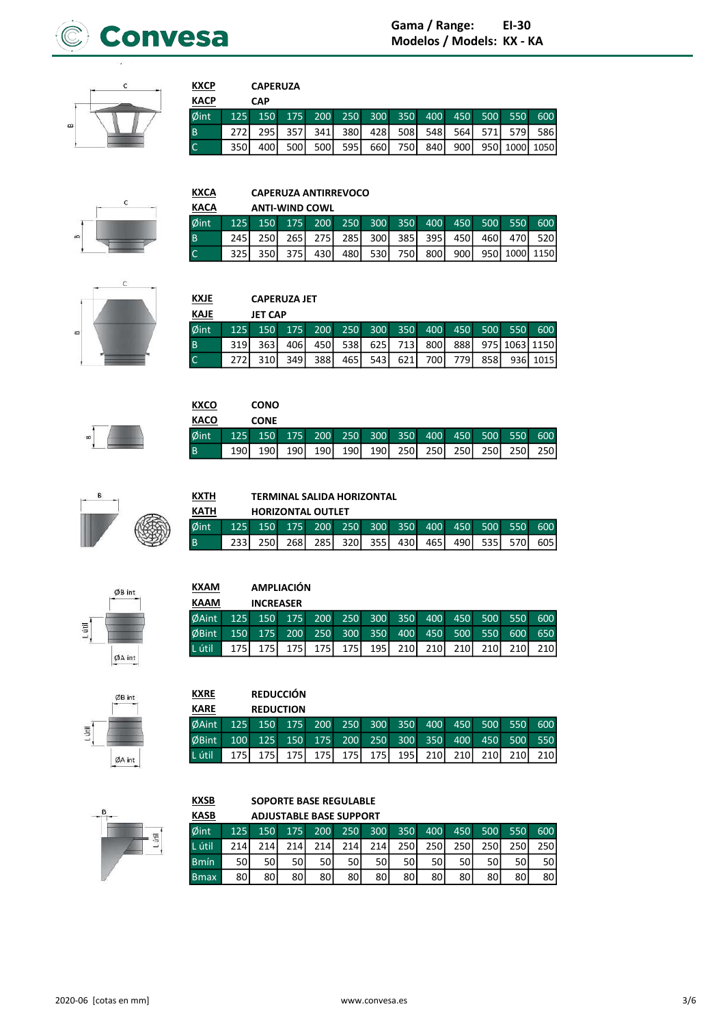



# **CAPERUZA**

**KXCP** 

| <b>KACP</b>    |      | <b>CAP</b>                                      |       |                                             |     |                               |  |  |  |
|----------------|------|-------------------------------------------------|-------|---------------------------------------------|-----|-------------------------------|--|--|--|
| $\phi$ int     |      | 125 150 175 200 250 300 350 400 450 500 550 600 |       |                                             |     |                               |  |  |  |
| $\overline{B}$ | 272I |                                                 |       | 295 357 341 380 428 508 548 564 571 579 586 |     |                               |  |  |  |
| $\overline{C}$ | 350I | 400 l                                           | 500 l | 500                                         | 595 | 660 750 840 900 950 1000 1050 |  |  |  |



### **KXCA CAPERUZA ANTIRREVOCO**

| <b>KACA</b>    |       |         | <b>ANTI-WIND COWL</b> |       |       |  |             |                                         |                                                 |
|----------------|-------|---------|-----------------------|-------|-------|--|-------------|-----------------------------------------|-------------------------------------------------|
| Øint           |       |         |                       |       |       |  |             |                                         | 125 150 175 200 250 300 350 400 450 500 550 600 |
| <b>B</b>       | 245 I |         |                       |       |       |  |             | 250 265 275 285 300 385 395 450 460 470 | 520                                             |
| $\overline{C}$ | 325I  | 350 375 | 430 l                 | 480 l | 530 l |  | 750 800 900 |                                         | - 950   1000   1150 <b> </b>                    |



### **KXJE CAPERUZA JET**

| KAJE           | <b>JET CAP</b> |         |  |  |                                                 |      |                                                   |
|----------------|----------------|---------|--|--|-------------------------------------------------|------|---------------------------------------------------|
| $\phi$ int     |                |         |  |  | 125 150 175 200 250 300 350 400 450 500 550 600 |      |                                                   |
| $\overline{B}$ |                |         |  |  |                                                 |      | 319 363 406 450 538 625 713 800 888 975 1063 1150 |
| l C            | 310 l          | 349 388 |  |  | 465 543 621 700 779                             | 858I | 936 1015                                          |

|          | <b>KXCO</b> |       | <b>CONO</b> |     |       |       |       |             |       |                                             |                  |
|----------|-------------|-------|-------------|-----|-------|-------|-------|-------------|-------|---------------------------------------------|------------------|
|          | <b>KACO</b> |       | <b>CONE</b> |     |       |       |       |             |       |                                             |                  |
|          | $\phi$ int  |       |             |     |       |       |       |             |       | 125 150 175 200 250 300 350 400 450 500 550 | 600 <sub>1</sub> |
| <b>B</b> |             | 190 l | 190 l       | 190 | 190 l | 190 l | 190 l | 250 250 250 | 250 l | 250                                         | 250 l            |



**KXTH** 

**KXRE** 

# TERMINAL SALIDA HORIZONTAL

| КАТН | <b>HORIZONTAL OUTLET</b>                    |  |  |                                         |  |  |       |
|------|---------------------------------------------|--|--|-----------------------------------------|--|--|-------|
| Øint | 125 150 175 200 250 300 350 400 450 500 550 |  |  |                                         |  |  | 600   |
| l B  |                                             |  |  | 250 268 285 320 355 430 465 490 535 570 |  |  | 605 l |

| <b>KXAM</b>  |                  | <b>AMPLIACIÓN</b> |            |                         |                  |       |                  |                  |           |      |     |     |
|--------------|------------------|-------------------|------------|-------------------------|------------------|-------|------------------|------------------|-----------|------|-----|-----|
| KAAM         |                  | <b>INCREASER</b>  |            |                         |                  |       |                  |                  |           |      |     |     |
| <b>ØAint</b> | 125              |                   |            | 150 175 200 250 300 350 |                  |       |                  |                  | $400$ 450 | 500  | 550 | 600 |
| <b>ØBint</b> | 150 <sup>°</sup> | 175               | <b>200</b> | 250                     | 300 <sup>°</sup> | 350   | 400              | 450              | 500       | 550  | 600 | 650 |
| L útil       | 175              | 175 l             | 175 l      | <b>175</b>              | 175 l            | 195 l | 210 <sub>l</sub> | 210 <sub>l</sub> | 210I      | 210I |     | 210 |



# **REDUCCIÓN REDUCTION**

| <b>KARE</b>                                                                   |  | <b>REDUCTION</b> |  |  |  |  |  |
|-------------------------------------------------------------------------------|--|------------------|--|--|--|--|--|
| ØAint 125 150 175 200 250 300 350 400 450 500 550 600                         |  |                  |  |  |  |  |  |
| ØBint 100 125 150 175 200 250 300 350 400 450 500 550                         |  |                  |  |  |  |  |  |
| Lútil   175   175   175   175   175   175   195   210   210   210   210   210 |  |                  |  |  |  |  |  |



### **KXSB** SOPORTE BASE REGULABLE **ADJUSTABLE BASE SUPPORT**

| <b>KASB</b>     |     |     |     | <b>ADJUSTABLE BASE SUPPORT</b> |     |      |       |     |     |     |     |     |
|-----------------|-----|-----|-----|--------------------------------|-----|------|-------|-----|-----|-----|-----|-----|
| $\emptyset$ int | 125 | 150 | 175 | 200                            | 250 | 300  | 350   | 400 | 450 | 500 | 550 | 600 |
| L útil.         | 214 | 214 | 214 | 214                            | 214 | 214  | 250 l | 250 | 250 | 250 | 250 | 250 |
| <b>Bmín</b>     | 50  | 50  | 50  | 50                             | 50  | 50 l | 50    | 50  | 50  | 50  | 50  | 50  |
| <b>B</b> max    | 80  | 80  | 80  | 80                             | 80  | 80   | 80    | 80  | 80  | 80  | 80  | 80  |





 $\emptyset$ B int

 $\phi$ A int

L útil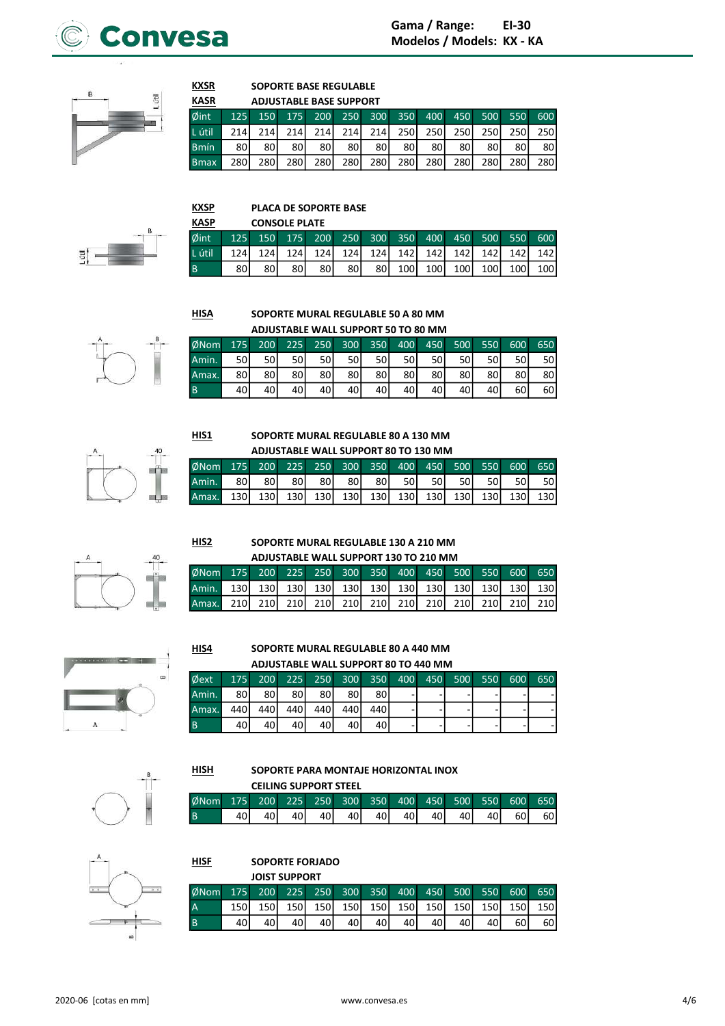



# **SOPORTE BASE REGULABLE**

| <b>KASR</b>  |      |       |     | <b>ADJUSTABLE BASE SUPPORT</b> |     |            |      |            |             |      |      |     |
|--------------|------|-------|-----|--------------------------------|-----|------------|------|------------|-------------|------|------|-----|
| $\phi$ int   | 125  |       |     | 150 175 200 250 300 350        |     |            |      |            | 400 450 500 |      | 550  | 600 |
| L útil       | 214  | 214 I | 214 | 214                            | 214 | 214        | 250l | 250I       | 250l        | 250l | 250I | 250 |
| <b>Bmín</b>  | 80   | 80    | 80  | 80 l                           | 80  | 80 l       | 80 l | 80 l       | 80          | 80   | 80   | 80  |
| <b>B</b> max | 280I | 280   | 280 | 280                            | 280 | <b>280</b> | 280  | <b>280</b> | <b>280</b>  | 280  | 280  | 280 |



### **KXSP** PLACA DE SOPORTE BASE KVCD CONCOLE DI ATE

| АЗР |                                                        |     | <b>CONSOLE PLATE</b> |      |  |  |  |                               |
|-----|--------------------------------------------------------|-----|----------------------|------|--|--|--|-------------------------------|
|     | fint   125 150 175 200 250 300 350 400 450 500 550 600 |     |                      |      |  |  |  |                               |
|     |                                                        |     |                      |      |  |  |  |                               |
|     | 80 I                                                   | 80I | 80I                  | 80 I |  |  |  | 80 80 100 100 100 100 100 100 |

**HISA** 

 $HIS1$ </u>

 $HIS2$ 

 $HIS4$ 

**HISH** 

**KXSR** 

# SOPORTE MURAL REGULABLE 50 A 80 MM

|       |                 |     |     | ADJUSTABLE WALL SUPPORT 50 TO 80 MM |    |      |                     |      |      |     |      |     |
|-------|-----------------|-----|-----|-------------------------------------|----|------|---------------------|------|------|-----|------|-----|
| Mom   | 175             | 200 | 225 | 250                                 |    |      | 300 350 400 450 500 |      |      | 550 | 600  | 650 |
| ،min. | 50              | 50  | 50  | 50 l                                | 50 | 50 l | 50 l                | 50 l | 50 l | 50  | 50 l | 50  |
| max.  | 80 <sub>1</sub> | 80  | 80  | 80                                  | 80 | 80   | 80                  | 80   | 80 l | 80  | 80   | 80  |
|       | 40              | 40  | 40  | 40                                  | 40 | 40 I | 40                  | 40I  | 40I  | 40  | 60   | 60  |



# SOPORTE MURAL REGULABLE 80 A 130 MM

|                                                  |      |      |      |      |    |      |      | ADJUSTABLE WALL SUPPORT 80 TO 130 MM |      |      |       |       |
|--------------------------------------------------|------|------|------|------|----|------|------|--------------------------------------|------|------|-------|-------|
| ØNom 175 200 225 250 300 350 400 450 500 550 600 |      |      |      |      |    |      |      |                                      |      |      |       | 650   |
| Amin.                                            | 80 I | 80 I | 80 I | 80 l | 80 | 80 I | 50 L | 50 I                                 | 50 I | 50 l | 50I   | 50 l  |
| Amax.                                            |      |      |      |      |    |      |      |                                      |      |      | 130 l | 130 l |





### SOPORTE MURAL REGULABLE 130 A 210 MM ADJUSTABLE WALL SUPPORT 130 TO 210 MM

|  |  | 3Nom 175 200 225 250 300 350 400 450 500 550 600 650 |  |  |  |  |
|--|--|------------------------------------------------------|--|--|--|--|
|  |  |                                                      |  |  |  |  |
|  |  |                                                      |  |  |  |  |



### SOPORTE MURAL REGULABLE 80 A 440 MM  $\overline{10}$

|       |      | ADJUSTABLE WALL SUPPORT 80 TO 440 MM |     |       |       |         |     |     |     |     |     |     |
|-------|------|--------------------------------------|-----|-------|-------|---------|-----|-----|-----|-----|-----|-----|
| )ext  | 175  | <b>200</b>                           | 225 | 250   |       | 300 350 | 400 | 450 | 500 | 550 | 600 | 650 |
| ،min. | 80   | 80 l                                 | 80I | 80    | 80 l  | 80      |     |     |     |     |     |     |
| max.  | 440I | 440 l                                | 440 | 440 l | 440 l | 440 l   |     |     |     |     |     |     |
|       | 40   | 40                                   | 401 | 40    | 40    | 40      |     |     |     |     |     |     |

### SOPORTE PARA MONTAJE HORIZONTAL INOX

|      |     |     |     | <b>CEILING SUPPORT STEEL</b> |                  |     |     |     |                 |     |      |      |
|------|-----|-----|-----|------------------------------|------------------|-----|-----|-----|-----------------|-----|------|------|
| ØNom | 175 | 200 |     | 225 250                      | 300 <sup>°</sup> | 350 | 400 |     | 450 500         | 550 | 600  | 650  |
| l B  |     | 401 | 401 | 40                           | 40l              | 40I | 40  | 40I | 40 <sup>1</sup> | 40I | 60 l | 60 I |



| HISF | SOPORTE FORJADO      |
|------|----------------------|
|      | <b>IOIST SUPPORT</b> |

|                |     |     | <b>JOIST SUPPORT</b> |         |       |           |              |       |       |     |      |     |
|----------------|-----|-----|----------------------|---------|-------|-----------|--------------|-------|-------|-----|------|-----|
| ØNom           | 175 | 200 |                      | 225 250 |       | $300$ 350 | 400          | 450   | 500   | 550 | 600  | 650 |
| $\overline{A}$ | 150 | 150 | 1501                 | 150 l   | 150 l | 150 l     | 150 <b>I</b> | 150 l | 150 l | 150 | 1501 | 150 |
| l B            | 40  | 40  |                      | 40'     | 40    | 40        | 40 I         | 40    |       | 40  | 60   | 60  |
|                |     |     |                      |         |       |           |              |       |       |     |      |     |

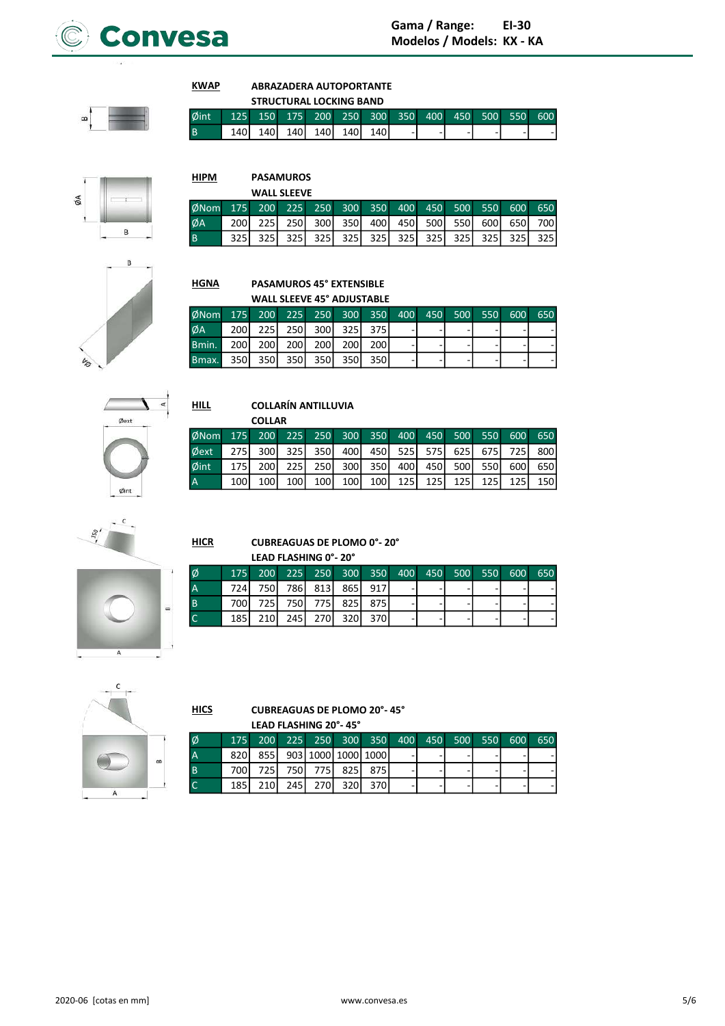

**HIPM** 

ØNom

ØA

**HILL** 

 $HICR$ 

Ø

 $\begin{array}{c}\nA \\
B \\
C\n\end{array}$ 

 $\overline{B}$ 

### **KWAP ABRAZADERA AUTOPORTANTE STRUCTURAL LOCKING RAND**

250

 $300$ 

 $\frac{1}{325}$ 

**PASAMUROS WALL SLEEVE** 

 $\overline{250}$ 

 $\frac{1}{325}$ 

 $200$ 225

 $\overline{225}$ 

 $\frac{1}{325}$ 

175

 $\overline{200}$ 

 $\frac{1}{325}$ 

|                                                      |  | <b>SIRUCIURAL LUCRING DANU</b> |                         |                |  |  |  |
|------------------------------------------------------|--|--------------------------------|-------------------------|----------------|--|--|--|
| Øint 125 150 175 200 250 300 350 400 450 500 550 600 |  |                                |                         |                |  |  |  |
|                                                      |  |                                | 140 140 140 140 140 140 | $\blacksquare$ |  |  |  |

350

400

 $\frac{1}{325}$ 

300

350

 $\frac{1}{325}$ 

400

450

 $\frac{1}{325}$ 

450

 $500$ 

 $\frac{1}{325}$ 

500

550

 $\frac{1}{325}$ 

550

600

 $\frac{1}{325}$ 

600

650

 $\frac{1}{325}$ 

650

700

 $\overline{325}$ 

 $\overline{550}$ 



# B

| <b>HGNA</b> |     |     | <b>PASAMUROS 45° EXTENSIBLE</b>   |     |                  |      |     |     |     |     |     |  |
|-------------|-----|-----|-----------------------------------|-----|------------------|------|-----|-----|-----|-----|-----|--|
|             |     |     | <b>WALL SLEEVE 45° ADJUSTABLE</b> |     |                  |      |     |     |     |     |     |  |
| $ØN$ om     | 175 | 200 | 225                               | 250 | 300 <sup>°</sup> | 350  | 400 | 450 | 500 | 550 | 600 |  |
| ØA          | 200 | 225 | 250                               | 300 | 325I             | 375I |     |     |     |     |     |  |
| Bmin.       | 200 | 200 | 200                               | 200 | 200              | 200  |     |     |     |     |     |  |
| Bmax.       | 350 | 350 | 350                               | 350 | 350              | 350  | ۰   | -   |     |     |     |  |



### **COLLARÍN ANTILLUVIA**

|      |       | <b>COLLAR</b>    |                  |                  |                  |         |                  |       |       |      |       |     |
|------|-------|------------------|------------------|------------------|------------------|---------|------------------|-------|-------|------|-------|-----|
| ØNom | 175   | 200              | 225              | 250              |                  | 300 350 | 400              | 450   | 500   | 550  | 600   | 650 |
| Øext | 275   | 300l             | 325 <sup>I</sup> | 350l             | 400 l            | 450     | 525 <sup>1</sup> | 575I  | 625   | 675I | 725 I | 800 |
| Øint | 175 l | 2001             | 225I             | 250l             | 300 <sup>1</sup> | 350l    | 400 <sup>1</sup> | 450 l | 500   | 550  | 600   | 650 |
| А    | 100 l | 100 <sup>1</sup> | 100              | 100 <sup> </sup> | 100 l            | 100 l   | 125 <sub>1</sub> | 125 l | 125 l | 125  | 125   | 150 |

 $\epsilon$  $\mathcal{S}$ 



### **CUBREAGUAS DE PLOMO 0°-20°** LEAD FLASHING 0°-20°

| l Ø      |       |  | 175 200 225 250 300 350 400 450 500 550 600 650 |  |  |  |  |
|----------|-------|--|-------------------------------------------------|--|--|--|--|
| ' A      |       |  | 724 750 786 813 865 917                         |  |  |  |  |
| <b>B</b> | 700 l |  | 725 750 775 825 875                             |  |  |  |  |
|          | 185 l |  | 210 245 270 320 370                             |  |  |  |  |



### $HICS$ **CUBREAGUAS DE PLOMO 20°-45°** LEAD FLASHING 20°-45°

|       |  |  | 175 200 225 250 300 350 400 450 500 550 600 650 |   |   |  |  |
|-------|--|--|-------------------------------------------------|---|---|--|--|
| 8201  |  |  | 855 903 1000 1000 1000                          | - | - |  |  |
|       |  |  | 700 725 750 775 825 775                         |   |   |  |  |
| 185 l |  |  | 210 245 270 320 370                             |   |   |  |  |